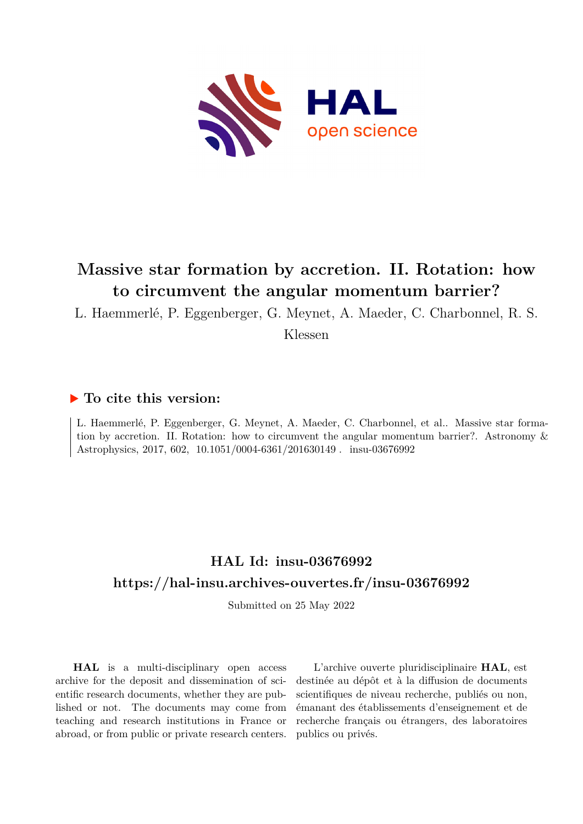

# **Massive star formation by accretion. II. Rotation: how to circumvent the angular momentum barrier?**

L. Haemmerlé, P. Eggenberger, G. Meynet, A. Maeder, C. Charbonnel, R. S.

Klessen

# **To cite this version:**

L. Haemmerlé, P. Eggenberger, G. Meynet, A. Maeder, C. Charbonnel, et al.. Massive star formation by accretion. II. Rotation: how to circumvent the angular momentum barrier?. Astronomy & Astrophysics, 2017, 602, 10.1051/0004-6361/201630149. insu-03676992

# **HAL Id: insu-03676992 <https://hal-insu.archives-ouvertes.fr/insu-03676992>**

Submitted on 25 May 2022

**HAL** is a multi-disciplinary open access archive for the deposit and dissemination of scientific research documents, whether they are published or not. The documents may come from teaching and research institutions in France or abroad, or from public or private research centers.

L'archive ouverte pluridisciplinaire **HAL**, est destinée au dépôt et à la diffusion de documents scientifiques de niveau recherche, publiés ou non, émanant des établissements d'enseignement et de recherche français ou étrangers, des laboratoires publics ou privés.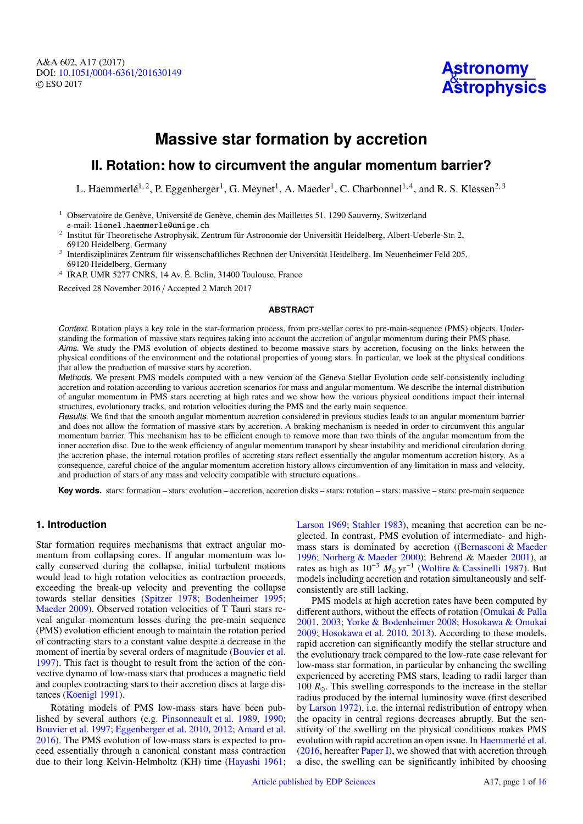

# **Massive star formation by accretion**

# **II. Rotation: how to circumvent the angular momentum barrier?**

L. Haemmerlé<sup>1, 2</sup>, P. Eggenberger<sup>1</sup>, G. Meynet<sup>1</sup>, A. Maeder<sup>1</sup>, C. Charbonnel<sup>1, 4</sup>, and R. S. Klessen<sup>2, 3</sup>

2 Institut für Theoretische Astrophysik, Zentrum für Astronomie der Universität Heidelberg, Albert-Ueberle-Str. 2, 69120 Heidelberg, Germany

3 Interdisziplinäres Zentrum für wissenschaftliches Rechnen der Universität Heidelberg, Im Neuenheimer Feld 205, 69120 Heidelberg, Germany

4 IRAP, UMR 5277 CNRS, 14 Av. É. Belin, 31400 Toulouse, France

Received 28 November 2016 / Accepted 2 March 2017

#### **ABSTRACT**

Context. Rotation plays a key role in the star-formation process, from pre-stellar cores to pre-main-sequence (PMS) objects. Understanding the formation of massive stars requires taking into account the accretion of angular momentum during their PMS phase. Aims. We study the PMS evolution of objects destined to become massive stars by accretion, focusing on the links between the physical conditions of the environment and the rotational properties of young stars. In particular, we look at the physical conditions that allow the production of massive stars by accretion.

Methods. We present PMS models computed with a new version of the Geneva Stellar Evolution code self-consistently including accretion and rotation according to various accretion scenarios for mass and angular momentum. We describe the internal distribution of angular momentum in PMS stars accreting at high rates and we show how the various physical conditions impact their internal structures, evolutionary tracks, and rotation velocities during the PMS and the early main sequence.

Results. We find that the smooth angular momentum accretion considered in previous studies leads to an angular momentum barrier and does not allow the formation of massive stars by accretion. A braking mechanism is needed in order to circumvent this angular momentum barrier. This mechanism has to be efficient enough to remove more than two thirds of the angular momentum from the inner accretion disc. Due to the weak efficiency of angular momentum transport by shear instability and meridional circulation during the accretion phase, the internal rotation profiles of accreting stars reflect essentially the angular momentum accretion history. As a consequence, careful choice of the angular momentum accretion history allows circumvention of any limitation in mass and velocity, and production of stars of any mass and velocity compatible with structure equations.

Key words. stars: formation – stars: evolution – accretion, accretion disks – stars: rotation – stars: massive – stars: pre-main sequence

## **1. Introduction**

Star formation requires mechanisms that extract angular momentum from collapsing cores. If angular momentum was locally conserved during the collapse, initial turbulent motions would lead to high rotation velocities as contraction proceeds, exceeding the break-up velocity and preventing the collapse towards stellar densities (Spitzer 1978; Bodenheimer 1995; Maeder 2009). Observed rotation velocities of T Tauri stars reveal angular momentum losses during the pre-main sequence (PMS) evolution efficient enough to maintain the rotation period of contracting stars to a constant value despite a decrease in the moment of inertia by several orders of magnitude (Bouvier et al. 1997). This fact is thought to result from the action of the convective dynamo of low-mass stars that produces a magnetic field and couples contracting stars to their accretion discs at large distances (Koenigl 1991).

Rotating models of PMS low-mass stars have been published by several authors (e.g. Pinsonneault et al. 1989, 1990; Bouvier et al. 1997; Eggenberger et al. 2010, 2012; Amard et al. 2016). The PMS evolution of low-mass stars is expected to proceed essentially through a canonical constant mass contraction due to their long Kelvin-Helmholtz (KH) time (Hayashi 1961; Larson 1969; Stahler 1983), meaning that accretion can be neglected. In contrast, PMS evolution of intermediate- and highmass stars is dominated by accretion ((Bernasconi & Maeder 1996; Norberg & Maeder 2000); Behrend & Maeder 2001), at rates as high as 10<sup>-3</sup> M<sub>o</sub> yr<sup>-1</sup> (Wolfire & Cassinelli 1987). But models including accretion and rotation simultaneously and selfconsistently are still lacking.

PMS models at high accretion rates have been computed by different authors, without the effects of rotation (Omukai & Palla 2001, 2003; Yorke & Bodenheimer 2008; Hosokawa & Omukai 2009; Hosokawa et al. 2010, 2013). According to these models, rapid accretion can significantly modify the stellar structure and the evolutionary track compared to the low-rate case relevant for low-mass star formation, in particular by enhancing the swelling experienced by accreting PMS stars, leading to radii larger than 100 *R*. This swelling corresponds to the increase in the stellar radius produced by the internal luminosity wave (first described by Larson 1972), i.e. the internal redistribution of entropy when the opacity in central regions decreases abruptly. But the sensitivity of the swelling on the physical conditions makes PMS evolution with rapid accretion an open issue. In Haemmerlé et al. (2016, hereafter Paper I), we showed that with accretion through a disc, the swelling can be significantly inhibited by choosing

<sup>&</sup>lt;sup>1</sup> Observatoire de Genève, Université de Genève, chemin des Maillettes 51, 1290 Sauverny, Switzerland e-mail: lionel.haemmerle@unige.ch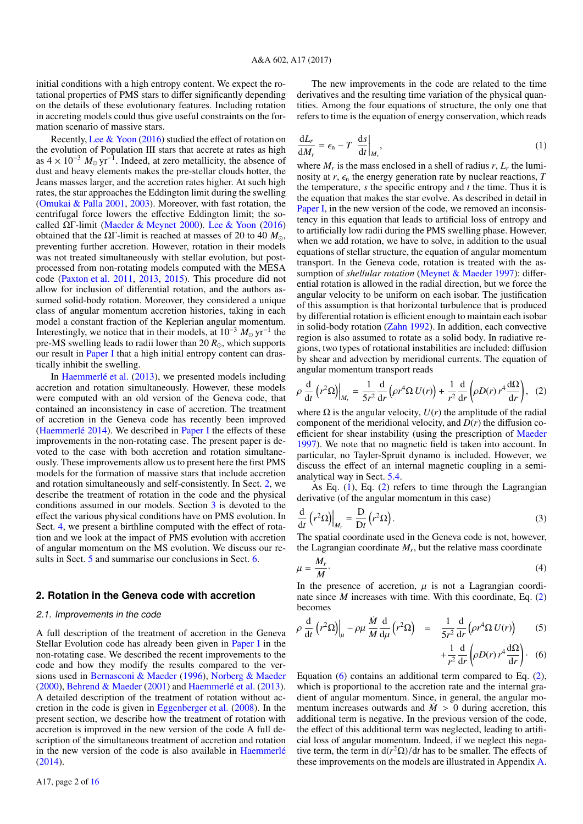initial conditions with a high entropy content. We expect the rotational properties of PMS stars to differ significantly depending on the details of these evolutionary features. Including rotation in accreting models could thus give useful constraints on the formation scenario of massive stars.

Recently, Lee & Yoon (2016) studied the effect of rotation on the evolution of Population III stars that accrete at rates as high as  $4 \times 10^{-3}$   $M_{\odot}$  yr<sup>-1</sup>. Indeed, at zero metallicity, the absence of dust and heavy elements makes the pre-stellar clouds hotter, the Jeans masses larger, and the accretion rates higher. At such high rates, the star approaches the Eddington limit during the swelling (Omukai & Palla 2001, 2003). Moreover, with fast rotation, the centrifugal force lowers the effective Eddington limit; the socalled ΩΓ-limit (Maeder & Meynet 2000). Lee & Yoon (2016) obtained that the ΩΓ-limit is reached at masses of 20 to 40  $M_{\odot}$ , preventing further accretion. However, rotation in their models was not treated simultaneously with stellar evolution, but postprocessed from non-rotating models computed with the MESA code (Paxton et al. 2011, 2013, 2015). This procedure did not allow for inclusion of differential rotation, and the authors assumed solid-body rotation. Moreover, they considered a unique class of angular momentum accretion histories, taking in each model a constant fraction of the Keplerian angular momentum. Interestingly, we notice that in their models, at  $10^{-3}$   $M_{\odot}$  yr<sup>-1</sup> the pre-MS swelling leads to radii lower than 20  $R_{\odot}$ , which supports our result in Paper I that a high initial entropy content can drastically inhibit the swelling.

In Haemmerlé et al. (2013), we presented models including accretion and rotation simultaneously. However, these models were computed with an old version of the Geneva code, that contained an inconsistency in case of accretion. The treatment of accretion in the Geneva code has recently been improved (Haemmerlé 2014). We described in Paper I the effects of these improvements in the non-rotating case. The present paper is devoted to the case with both accretion and rotation simultaneously. These improvements allow us to present here the first PMS models for the formation of massive stars that include accretion and rotation simultaneously and self-consistently. In Sect. 2, we describe the treatment of rotation in the code and the physical conditions assumed in our models. Section 3 is devoted to the effect the various physical conditions have on PMS evolution. In Sect. 4, we present a birthline computed with the effect of rotation and we look at the impact of PMS evolution with accretion of angular momentum on the MS evolution. We discuss our results in Sect. 5 and summarise our conclusions in Sect. 6.

### **2. Rotation in the Geneva code with accretion**

#### 2.1. Improvements in the code

A full description of the treatment of accretion in the Geneva Stellar Evolution code has already been given in Paper I in the non-rotating case. We described the recent improvements to the code and how they modify the results compared to the versions used in Bernasconi & Maeder (1996), Norberg & Maeder (2000), Behrend & Maeder (2001) and Haemmerlé et al. (2013). A detailed description of the treatment of rotation without accretion in the code is given in Eggenberger et al. (2008). In the present section, we describe how the treatment of rotation with accretion is improved in the new version of the code A full description of the simultaneous treatment of accretion and rotation in the new version of the code is also available in Haemmerlé (2014).

A17, page 2 of 16

The new improvements in the code are related to the time derivatives and the resulting time variation of the physical quantities. Among the four equations of structure, the only one that refers to time is the equation of energy conservation, which reads

$$
\frac{\mathrm{d}L_r}{\mathrm{d}M_r} = \epsilon_\text{n} - T \left. \frac{\mathrm{d}s}{\mathrm{d}t} \right|_{M_r},\tag{1}
$$

where  $M_r$  is the mass enclosed in a shell of radius  $r$ ,  $L_r$  the luminosity at  $r$ ,  $\epsilon_n$  the energy generation rate by nuclear reactions,  $T$ the temperature,  $s$  the specific entropy and  $t$  the time. Thus it is the equation that makes the star evolve. As described in detail in Paper I, in the new version of the code, we removed an inconsistency in this equation that leads to artificial loss of entropy and to artificially low radii during the PMS swelling phase. However, when we add rotation, we have to solve, in addition to the usual equations of stellar structure, the equation of angular momentum transport. In the Geneva code, rotation is treated with the assumption of *shellular rotation* (Meynet & Maeder 1997): differential rotation is allowed in the radial direction, but we force the angular velocity to be uniform on each isobar. The justification of this assumption is that horizontal turbulence that is produced by differential rotation is efficient enough to maintain each isobar in solid-body rotation (Zahn 1992). In addition, each convective region is also assumed to rotate as a solid body. In radiative regions, two types of rotational instabilities are included: diffusion by shear and advection by meridional currents. The equation of angular momentum transport reads

$$
\rho \frac{\mathrm{d}}{\mathrm{d}t} \left( r^2 \Omega \right) \Big|_{M_r} = \frac{1}{5r^2} \frac{\mathrm{d}}{\mathrm{d}r} \left( \rho r^4 \Omega \, U(r) \right) + \frac{1}{r^2} \frac{\mathrm{d}}{\mathrm{d}r} \left( \rho D(r) \, r^4 \frac{\mathrm{d}\Omega}{\mathrm{d}r} \right), \tag{2}
$$

where  $\Omega$  is the angular velocity,  $U(r)$  the amplitude of the radial component of the meridional velocity, and  $D(r)$  the diffusion coefficient for shear instability (using the prescription of Maeder 1997). We note that no magnetic field is taken into account. In particular, no Tayler-Spruit dynamo is included. However, we discuss the effect of an internal magnetic coupling in a semianalytical way in Sect. 5.4.

As Eq.  $(1)$ , Eq.  $(2)$  refers to time through the Lagrangian derivative (of the angular momentum in this case)

$$
\frac{\mathrm{d}}{\mathrm{d}t}\left(r^2\Omega\right)\bigg|_{M_r} = \frac{\mathrm{D}}{\mathrm{D}t}\left(r^2\Omega\right). \tag{3}
$$

The spatial coordinate used in the Geneva code is not, however, the Lagrangian coordinate  $M_r$ , but the relative mass coordinate

$$
\mu = \frac{M_r}{M}.\tag{4}
$$

In the presence of accretion,  $\mu$  is not a Lagrangian coordinate since *M* increases with time. With this coordinate, Eq. (2) becomes

$$
\rho \frac{d}{dt} \left( r^2 \Omega \right) \Big|_{\mu} - \rho \mu \frac{\dot{M}}{M} \frac{d}{d\mu} \left( r^2 \Omega \right) = \frac{1}{5r^2} \frac{d}{dr} \left( \rho r^4 \Omega U(r) \right) \tag{5}
$$

$$
+\frac{1}{r^2}\frac{\mathrm{d}}{\mathrm{d}r}\left(\rho D(r)\,r^4\frac{\mathrm{d}\Omega}{\mathrm{d}r}\right)\!\cdot\quad(6)
$$

Equation (6) contains an additional term compared to Eq. (2), which is proportional to the accretion rate and the internal gradient of angular momentum. Since, in general, the angular momentum increases outwards and  $\dot{M} > 0$  during accretion, this additional term is negative. In the previous version of the code, the effect of this additional term was neglected, leading to artificial loss of angular momentum. Indeed, if we neglect this negative term, the term in  $d(r^2\Omega)/dt$  has to be smaller. The effects of these improvements on the models are illustrated in Appendix A these improvements on the models are illustrated in Appendix A.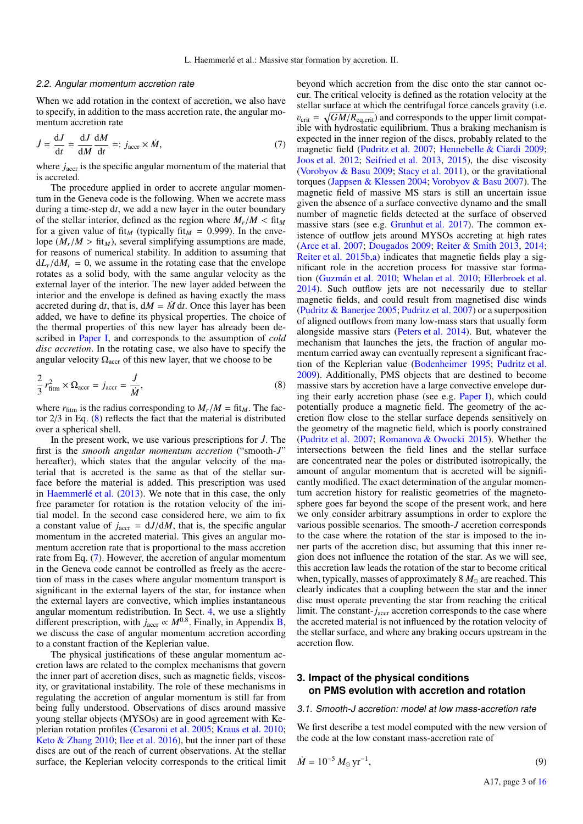#### 2.2. Angular momentum accretion rate

When we add rotation in the context of accretion, we also have to specify, in addition to the mass accretion rate, the angular momentum accretion rate

$$
\dot{J} = \frac{dJ}{dt} = \frac{dJ}{dM} \frac{dM}{dt} =: j_{\text{accr}} \times \dot{M},\tag{7}
$$

where *j*<sub>accr</sub> is the specific angular momentum of the material that is accreted.

The procedure applied in order to accrete angular momentum in the Geneva code is the following. When we accrete mass during a time-step d*t*, we add a new layer in the outer boundary of the stellar interior, defined as the region where  $M_r/M < \text{fit}_M$ for a given value of fit<sub>M</sub> (typically fit<sub>M</sub> = 0.999). In the envelope  $(M_r/M > fit_M)$ , several simplifying assumptions are made, for reasons of numerical stability. In addition to assuming that  $dL_r/dM_r = 0$ , we assume in the rotating case that the envelope rotates as a solid body, with the same angular velocity as the external layer of the interior. The new layer added between the interior and the envelope is defined as having exactly the mass accreted during dt, that is,  $dM = \dot{M} dt$ . Once this layer has been added, we have to define its physical properties. The choice of the thermal properties of this new layer has already been described in Paper I, and corresponds to the assumption of *cold disc accretion*. In the rotating case, we also have to specify the angular velocity  $\Omega_{\text{accr}}$  of this new layer, that we choose to be

$$
\frac{2}{3}r_{\text{fitm}}^2 \times \Omega_{\text{accr}} = j_{\text{accr}} = \frac{j}{\dot{M}},\tag{8}
$$

where  $r_{\text{fitm}}$  is the radius corresponding to  $M_r/M = \text{fit}_M$ . The factor 2/3 in Eq. (8) reflects the fact that the material is distributed over a spherical shell.

In the present work, we use various prescriptions for  $\dot{J}$ . The first is the *smooth angular momentum accretion* ("smooth-*J*" hereafter), which states that the angular velocity of the material that is accreted is the same as that of the stellar surface before the material is added. This prescription was used in Haemmerlé et al. (2013). We note that in this case, the only free parameter for rotation is the rotation velocity of the initial model. In the second case considered here, we aim to fix a constant value of  $j_{\text{accr}} = dJ/dM$ , that is, the specific angular momentum in the accreted material. This gives an angular momentum accretion rate that is proportional to the mass accretion rate from Eq. (7). However, the accretion of angular momentum in the Geneva code cannot be controlled as freely as the accretion of mass in the cases where angular momentum transport is significant in the external layers of the star, for instance when the external layers are convective, which implies instantaneous angular momentum redistribution. In Sect. 4, we use a slightly different prescription, with  $j_{\text{accr}} \propto M^{0.8}$ . Finally, in Appendix B, we discuss the case of angular momentum accretion according to a constant fraction of the Keplerian value.

The physical justifications of these angular momentum accretion laws are related to the complex mechanisms that govern the inner part of accretion discs, such as magnetic fields, viscosity, or gravitational instability. The role of these mechanisms in regulating the accretion of angular momentum is still far from being fully understood. Observations of discs around massive young stellar objects (MYSOs) are in good agreement with Keplerian rotation profiles (Cesaroni et al. 2005; Kraus et al. 2010; Keto & Zhang 2010; Ilee et al. 2016), but the inner part of these discs are out of the reach of current observations. At the stellar surface, the Keplerian velocity corresponds to the critical limit

beyond which accretion from the disc onto the star cannot occur. The critical velocity is defined as the rotation velocity at the stellar surface at which the centrifugal force cancels gravity (i.e.  $v_{\text{crit}} = \sqrt{GM/R_{\text{eq,crit}}}\$  and corresponds to the upper limit compatible with hydrostatic equilibrium. Thus a braking mechanism is ible with hydrostatic equilibrium. Thus a braking mechanism is expected in the inner region of the discs, probably related to the magnetic field (Pudritz et al. 2007; Hennebelle & Ciardi 2009; Joos et al. 2012; Seifried et al. 2013, 2015), the disc viscosity (Vorobyov & Basu 2009; Stacy et al. 2011), or the gravitational torques (Jappsen & Klessen 2004; Vorobyov & Basu 2007). The magnetic field of massive MS stars is still an uncertain issue given the absence of a surface convective dynamo and the small number of magnetic fields detected at the surface of observed massive stars (see e.g. Grunhut et al. 2017). The common existence of outflow jets around MYSOs accreting at high rates (Arce et al. 2007; Dougados 2009; Reiter & Smith 2013, 2014; Reiter et al. 2015b,a) indicates that magnetic fields play a significant role in the accretion process for massive star formation (Guzmán et al. 2010; Whelan et al. 2010; Ellerbroek et al. 2014). Such outflow jets are not necessarily due to stellar magnetic fields, and could result from magnetised disc winds (Pudritz & Banerjee 2005; Pudritz et al. 2007) or a superposition of aligned outflows from many low-mass stars that usually form alongside massive stars (Peters et al. 2014). But, whatever the mechanism that launches the jets, the fraction of angular momentum carried away can eventually represent a significant fraction of the Keplerian value (Bodenheimer 1995; Pudritz et al. 2009). Additionally, PMS objects that are destined to become massive stars by accretion have a large convective envelope during their early accretion phase (see e.g. Paper I), which could potentially produce a magnetic field. The geometry of the accretion flow close to the stellar surface depends sensitively on the geometry of the magnetic field, which is poorly constrained (Pudritz et al. 2007; Romanova & Owocki 2015). Whether the intersections between the field lines and the stellar surface are concentrated near the poles or distributed isotropically, the amount of angular momentum that is accreted will be significantly modified. The exact determination of the angular momentum accretion history for realistic geometries of the magnetosphere goes far beyond the scope of the present work, and here we only consider arbitrary assumptions in order to explore the various possible scenarios. The smooth-*J* accretion corresponds to the case where the rotation of the star is imposed to the inner parts of the accretion disc, but assuming that this inner region does not influence the rotation of the star. As we will see, this accretion law leads the rotation of the star to become critical when, typically, masses of approximately  $8 M_{\odot}$  are reached. This clearly indicates that a coupling between the star and the inner disc must operate preventing the star from reaching the critical limit. The constant-*j*<sub>accr</sub> accretion corresponds to the case where the accreted material is not influenced by the rotation velocity of the stellar surface, and where any braking occurs upstream in the accretion flow.

## **3. Impact of the physical conditions on PMS evolution with accretion and rotation**

#### 3.1. Smooth-J accretion: model at low mass-accretion rate

We first describe a test model computed with the new version of the code at the low constant mass-accretion rate of

$$
\dot{M} = 10^{-5} M_{\odot} \,\text{yr}^{-1},\tag{9}
$$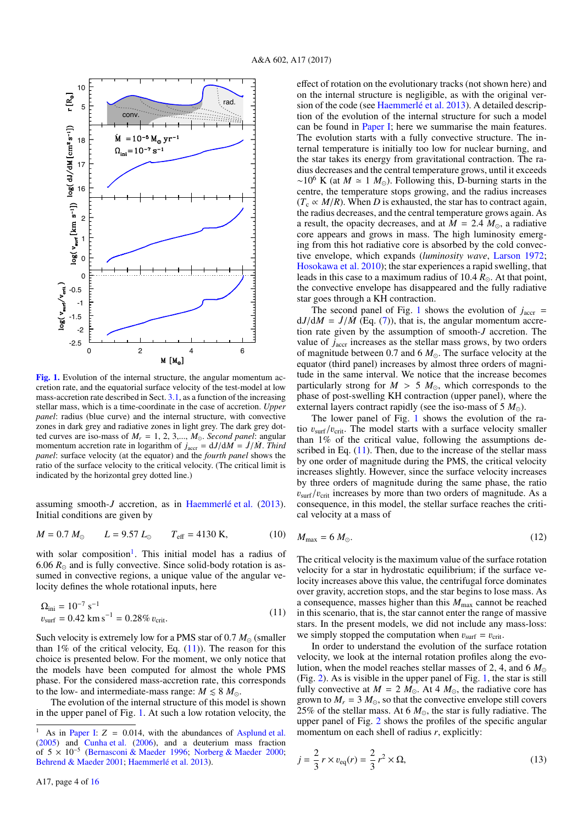

[Fig. 1.](http://dexter.edpsciences.org/applet.php?DOI=10.1051/0004-6361/201630149&pdf_id=1) Evolution of the internal structure, the angular momentum accretion rate, and the equatorial surface velocity of the test-model at low mass-accretion rate described in Sect. 3.1, as a function of the increasing stellar mass, which is a time-coordinate in the case of accretion. *Upper panel*: radius (blue curve) and the internal structure, with convective zones in dark grey and radiative zones in light grey. The dark grey dotted curves are iso-mass of  $M_r = 1, 2, 3,..., M_0$ . *Second panel*: angular momentum accretion rate in logarithm of  $j_{\text{accr}} = dJ/dM = \dot{J}/\dot{M}$ . *Third panel*: surface velocity (at the equator) and the *fourth panel* shows the ratio of the surface velocity to the critical velocity. (The critical limit is indicated by the horizontal grey dotted line.)

assuming smooth-*J* accretion, as in Haemmerlé et al. (2013). Initial conditions are given by

$$
M = 0.7 M_{\odot} \qquad L = 9.57 L_{\odot} \qquad T_{\text{eff}} = 4130 \text{ K}, \tag{10}
$$

with solar composition<sup>1</sup>. This initial model has a radius of 6.06  $R_{\odot}$  and is fully convective. Since solid-body rotation is assumed in convective regions, a unique value of the angular velocity defines the whole rotational inputs, here

$$
\Omega_{\text{ini}} = 10^{-7} \text{ s}^{-1}
$$
  
\n
$$
v_{\text{surf}} = 0.42 \text{ km s}^{-1} = 0.28\% v_{\text{crit}}.
$$
\n(11)

Such velocity is extremely low for a PMS star of  $0.7 M_{\odot}$  (smaller than 1% of the critical velocity, Eq.  $(11)$ ). The reason for this choice is presented below. For the moment, we only notice that the models have been computed for almost the whole PMS phase. For the considered mass-accretion rate, this corresponds to the low- and intermediate-mass range:  $M \leq 8$   $M_{\odot}$ .

The evolution of the internal structure of this model is shown in the upper panel of Fig. 1. At such a low rotation velocity, the effect of rotation on the evolutionary tracks (not shown here) and on the internal structure is negligible, as with the original version of the code (see Haemmerlé et al. 2013). A detailed description of the evolution of the internal structure for such a model can be found in Paper I; here we summarise the main features. The evolution starts with a fully convective structure. The internal temperature is initially too low for nuclear burning, and the star takes its energy from gravitational contraction. The radius decreases and the central temperature grows, until it exceeds ~10<sup>6</sup> K (at  $M \approx 1$   $M_{\odot}$ ). Following this, D-burning starts in the centre, the temperature stops growing, and the radius increases  $(T_c \propto M/R)$ . When *D* is exhausted, the star has to contract again, the radius decreases, and the central temperature grows again. As a result, the opacity decreases, and at  $\dot{M} = 2.4 \, M_{\odot}$ , a radiative core appears and grows in mass. The high luminosity emerging from this hot radiative core is absorbed by the cold convective envelope, which expands (*luminosity wave*, Larson 1972; Hosokawa et al. 2010); the star experiences a rapid swelling, that leads in this case to a maximum radius of  $10.4 R_{\odot}$ . At that point, the convective envelope has disappeared and the fully radiative star goes through a KH contraction.

The second panel of Fig. 1 shows the evolution of  $j<sub>accr</sub>$  =  $dJ/dM = J/M$  (Eq. (7)), that is, the angular momentum accretion rate given by the assumption of smooth-*J* accretion. The value of *j*<sub>accr</sub> increases as the stellar mass grows, by two orders of magnitude between 0.7 and 6  $M_{\odot}$ . The surface velocity at the equator (third panel) increases by almost three orders of magnitude in the same interval. We notice that the increase becomes particularly strong for  $M > 5$   $M_{\odot}$ , which corresponds to the phase of post-swelling KH contraction (upper panel), where the external layers contract rapidly (see the iso-mass of 5 *M*).

The lower panel of Fig. 1 shows the evolution of the ratio  $v_{\text{surf}}/v_{\text{crit}}$ . The model starts with a surface velocity smaller than 1% of the critical value, following the assumptions described in Eq.  $(11)$ . Then, due to the increase of the stellar mass by one order of magnitude during the PMS, the critical velocity increases slightly. However, since the surface velocity increases by three orders of magnitude during the same phase, the ratio  $v<sub>surf</sub>/v<sub>crit</sub>$  increases by more than two orders of magnitude. As a consequence, in this model, the stellar surface reaches the critical velocity at a mass of

$$
M_{\text{max}} = 6 M_{\odot}. \tag{12}
$$

The critical velocity is the maximum value of the surface rotation velocity for a star in hydrostatic equilibrium; if the surface velocity increases above this value, the centrifugal force dominates over gravity, accretion stops, and the star begins to lose mass. As a consequence, masses higher than this *M*max cannot be reached in this scenario, that is, the star cannot enter the range of massive stars. In the present models, we did not include any mass-loss: we simply stopped the computation when  $v_{\text{surf}} = v_{\text{crit}}$ .

In order to understand the evolution of the surface rotation velocity, we look at the internal rotation profiles along the evolution, when the model reaches stellar masses of 2, 4, and 6 *M* (Fig. 2). As is visible in the upper panel of Fig. 1, the star is still fully convective at  $M = 2 M_{\odot}$ . At 4  $M_{\odot}$ , the radiative core has grown to  $M_r = 3 M_{\odot}$ , so that the convective envelope still covers 25% of the stellar mass. At 6  $M_{\odot}$ , the star is fully radiative. The upper panel of Fig. 2 shows the profiles of the specific angular momentum on each shell of radius *r*, explicitly:

$$
j = \frac{2}{3} r \times v_{\text{eq}}(r) = \frac{2}{3} r^2 \times \Omega,
$$
 (13)

As in Paper I:  $Z = 0.014$ , with the abundances of Asplund et al. (2005) and Cunha et al. (2006), and a deuterium mass fraction of 5 × 10<sup>−</sup><sup>5</sup> (Bernasconi & Maeder 1996; Norberg & Maeder 2000; Behrend & Maeder 2001; Haemmerlé et al. 2013).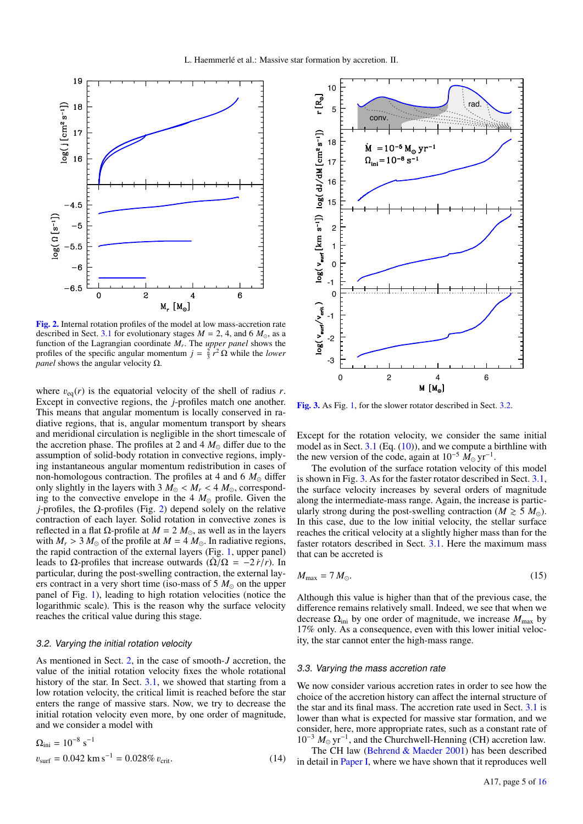

[Fig. 2.](http://dexter.edpsciences.org/applet.php?DOI=10.1051/0004-6361/201630149&pdf_id=2) Internal rotation profiles of the model at low mass-accretion rate described in Sect. 3.1 for evolutionary stages  $M = 2$ , 4, and 6  $M_{\odot}$ , as a function of the Lagrangian coordinate *M<sup>r</sup>* . The *upper panel* shows the profiles of the specific angular momentum  $j = \frac{2}{3}r^2 \Omega$  while the *lower panel* shows the angular velocity Ω.

where  $v_{eq}(r)$  is the equatorial velocity of the shell of radius *r*. Except in convective regions, the *j*-profiles match one another. This means that angular momentum is locally conserved in radiative regions, that is, angular momentum transport by shears and meridional circulation is negligible in the short timescale of the accretion phase. The profiles at 2 and 4  $M_{\odot}$  differ due to the assumption of solid-body rotation in convective regions, implying instantaneous angular momentum redistribution in cases of non-homologous contraction. The profiles at 4 and 6  $M_{\odot}$  differ only slightly in the layers with  $3 M_{\odot} < M_r < 4 M_{\odot}$ , corresponding to the convective envelope in the 4  $M_{\odot}$  profile. Given the *j*-profiles, the  $\Omega$ -profiles (Fig. 2) depend solely on the relative contraction of each layer. Solid rotation in convective zones is reflected in a flat Ω-profile at  $M = 2 M_{\odot}$ , as well as in the layers with  $M_r > 3 M_{\odot}$  of the profile at  $M = 4 M_{\odot}$ . In radiative regions, the rapid contraction of the external layers (Fig. 1, upper panel) leads to Ω-profiles that increase outwards ( $\dot{\Omega}/\Omega = -2 \dot{r}/r$ ). In particular, during the post-swelling contraction, the external layers contract in a very short time (iso-mass of  $5 M_{\odot}$  on the upper panel of Fig. 1), leading to high rotation velocities (notice the logarithmic scale). This is the reason why the surface velocity reaches the critical value during this stage.

#### 3.2. Varying the initial rotation velocity

As mentioned in Sect. 2, in the case of smooth-*J* accretion, the value of the initial rotation velocity fixes the whole rotational history of the star. In Sect. 3.1, we showed that starting from a low rotation velocity, the critical limit is reached before the star enters the range of massive stars. Now, we try to decrease the initial rotation velocity even more, by one order of magnitude, and we consider a model with

$$
\Omega_{\text{ini}} = 10^{-8} \text{ s}^{-1}
$$
  

$$
v_{\text{surf}} = 0.042 \text{ km s}^{-1} = 0.028\% v_{\text{crit}}.
$$
 (14)



[Fig. 3.](http://dexter.edpsciences.org/applet.php?DOI=10.1051/0004-6361/201630149&pdf_id=3) As Fig. 1, for the slower rotator described in Sect. 3.2.

Except for the rotation velocity, we consider the same initial model as in Sect. 3.1 (Eq. (10)), and we compute a birthline with the new version of the code, again at  $10^{-5}$   $\dot{M_{\odot}}$  yr<sup>-1</sup>.

The evolution of the surface rotation velocity of this model is shown in Fig. 3. As for the faster rotator described in Sect. 3.1, the surface velocity increases by several orders of magnitude along the intermediate-mass range. Again, the increase is particularly strong during the post-swelling contraction ( $M \ge 5$   $M_{\odot}$ ). In this case, due to the low initial velocity, the stellar surface reaches the critical velocity at a slightly higher mass than for the faster rotators described in Sect. 3.1. Here the maximum mass that can be accreted is

$$
M_{\text{max}} = 7 M_{\odot}. \tag{15}
$$

Although this value is higher than that of the previous case, the difference remains relatively small. Indeed, we see that when we decrease  $\Omega_{\text{ini}}$  by one order of magnitude, we increase  $M_{\text{max}}$  by 17% only. As a consequence, even with this lower initial velocity, the star cannot enter the high-mass range.

#### 3.3. Varying the mass accretion rate

We now consider various accretion rates in order to see how the choice of the accretion history can affect the internal structure of the star and its final mass. The accretion rate used in Sect. 3.1 is lower than what is expected for massive star formation, and we consider, here, more appropriate rates, such as a constant rate of 10<sup>-3</sup> M<sub>o</sub> yr<sup>-1</sup>, and the Churchwell-Henning (CH) accretion law.

The CH law (Behrend & Maeder 2001) has been described in detail in Paper I, where we have shown that it reproduces well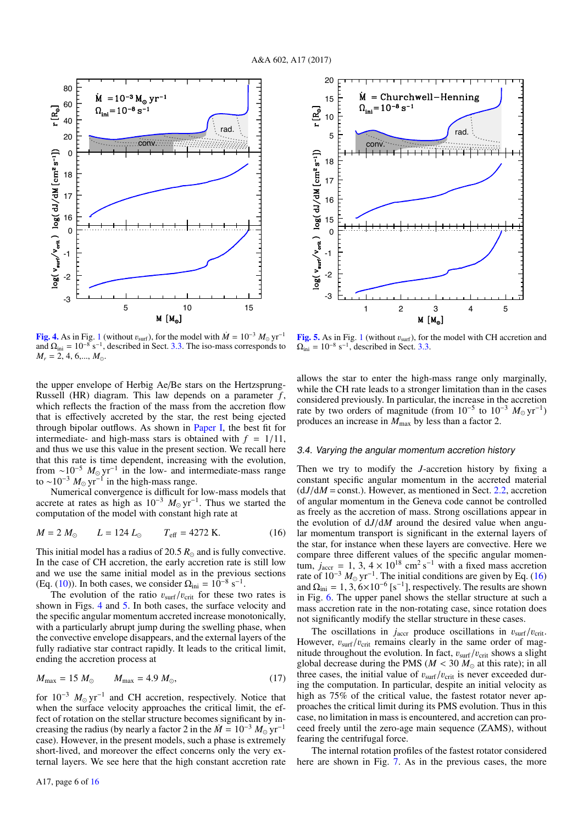

[Fig. 4.](http://dexter.edpsciences.org/applet.php?DOI=10.1051/0004-6361/201630149&pdf_id=4) As in Fig. 1 (without  $v_{\text{surf}}$ ), for the model with  $\dot{M} = 10^{-3} M_{\odot} \text{ yr}^{-1}$ and  $\Omega_{\text{ini}} = 10^{-8}$  s<sup>-1</sup>, described in Sect. 3.3. The iso-mass corresponds to  $M_r = 2, 4, 6, \ldots, M_{\odot}$ .

the upper envelope of Herbig Ae/Be stars on the Hertzsprung-Russell (HR) diagram. This law depends on a parameter *f* , which reflects the fraction of the mass from the accretion flow that is effectively accreted by the star, the rest being ejected through bipolar outflows. As shown in Paper I, the best fit for intermediate- and high-mass stars is obtained with  $f = 1/11$ , and thus we use this value in the present section. We recall here that this rate is time dependent, increasing with the evolution, from  $\sim 10^{-5}$   $M_{\odot}$  yr<sup>-1</sup> in the low- and intermediate-mass range to ~10<sup>-3</sup>  $M_{\odot}$  yr<sup>-1</sup> in the high-mass range.

Numerical convergence is difficult for low-mass models that accrete at rates as high as  $10^{-3}$   $M_{\odot}$  yr<sup>-1</sup>. Thus we started the computation of the model with constant high rate at

$$
M = 2 M_{\odot}
$$
  $L = 124 L_{\odot}$   $T_{\text{eff}} = 4272 \text{ K.}$  (16)

This initial model has a radius of 20.5  $R_{\odot}$  and is fully convective. In the case of CH accretion, the early accretion rate is still low and we use the same initial model as in the previous sections (Eq. (10)). In both cases, we consider  $\Omega_{\text{ini}} = 10^{-8} \text{ s}^{-1}$ .

The evolution of the ratio  $v_{\text{surf}}/v_{\text{crit}}$  for these two rates is shown in Figs. 4 and 5. In both cases, the surface velocity and the specific angular momentum accreted increase monotonically, with a particularly abrupt jump during the swelling phase, when the convective envelope disappears, and the external layers of the fully radiative star contract rapidly. It leads to the critical limit, ending the accretion process at

$$
M_{\text{max}} = 15 M_{\odot} \qquad M_{\text{max}} = 4.9 M_{\odot}, \tag{17}
$$

for  $10^{-3}$   $M_{\odot}$  yr<sup>-1</sup> and CH accretion, respectively. Notice that when the surface velocity approaches the critical limit, the effect of rotation on the stellar structure becomes significant by increasing the radius (by nearly a factor 2 in the  $\dot{M} = 10^{-3} M_{\odot} \text{ yr}^{-1}$ case). However, in the present models, such a phase is extremely short-lived, and moreover the effect concerns only the very external layers. We see here that the high constant accretion rate



[Fig. 5.](http://dexter.edpsciences.org/applet.php?DOI=10.1051/0004-6361/201630149&pdf_id=5) As in Fig. 1 (without  $v_{\text{surf}}$ ), for the model with CH accretion and  $\Omega_{\text{ini}} = 10^{-8} \text{ s}^{-1}$ , described in Sect. 3.3.

allows the star to enter the high-mass range only marginally, while the CH rate leads to a stronger limitation than in the cases considered previously. In particular, the increase in the accretion rate by two orders of magnitude (from  $10^{-5}$  to  $10^{-3}$   $M_{\odot}$  yr<sup>-1</sup>) produces an increase in  $M_{\text{max}}$  by less than a factor 2.

#### 3.4. Varying the angular momentum accretion history

Then we try to modify the *J*-accretion history by fixing a constant specific angular momentum in the accreted material  $(dJ/dM = \text{const.})$ . However, as mentioned in Sect. 2.2, accretion of angular momentum in the Geneva code cannot be controlled as freely as the accretion of mass. Strong oscillations appear in the evolution of d*J*/d*<sup>M</sup>* around the desired value when angular momentum transport is significant in the external layers of the star, for instance when these layers are convective. Here we compare three different values of the specific angular momentum,  $j_{\text{accr}} = 1, 3, 4 \times 10^{18} \text{ cm}^2 \text{ s}^{-1}$  with a fixed mass accretion rate of  $10^{-3}$   $M_{\odot}$  yr<sup>-1</sup>. The initial conditions are given by Eq. (16) and  $\Omega_{\text{ini}} = 1, 3, 6 \times 10^{-6} \text{ [s}^{-1}$ , respectively. The results are shown in Fig. 6. The upper panel shows the stellar structure at such a mass accretion rate in the non-rotating case, since rotation does not significantly modify the stellar structure in these cases.

The oscillations in  $j_{\text{accr}}$  produce oscillations in  $v_{\text{surf}}/v_{\text{crit}}$ . However,  $v_{\text{surf}}/v_{\text{crit}}$  remains clearly in the same order of magnitude throughout the evolution. In fact,  $v_{\text{surf}}/v_{\text{crit}}$  shows a slight global decrease during the PMS ( $M < 30 M_{\odot}$  at this rate); in all three cases, the initial value of  $v_{\text{surf}}/v_{\text{crit}}$  is never exceeded during the computation. In particular, despite an initial velocity as high as  $75\%$  of the critical value, the fastest rotator never approaches the critical limit during its PMS evolution. Thus in this case, no limitation in mass is encountered, and accretion can proceed freely until the zero-age main sequence (ZAMS), without fearing the centrifugal force.

The internal rotation profiles of the fastest rotator considered here are shown in Fig. 7. As in the previous cases, the more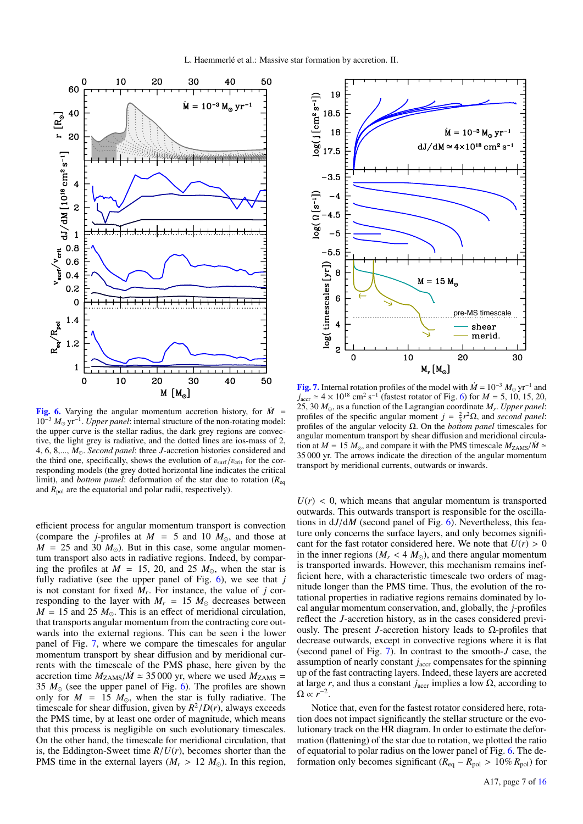

[Fig. 6.](http://dexter.edpsciences.org/applet.php?DOI=10.1051/0004-6361/201630149&pdf_id=6) Varying the angular momentum accretion history, for  $\dot{M}$  = 10<sup>−</sup><sup>3</sup> *M* yr<sup>−</sup><sup>1</sup> . *Upper panel*: internal structure of the non-rotating model: the upper curve is the stellar radius, the dark grey regions are convective, the light grey is radiative, and the dotted lines are ios-mass of 2, 4, 6, 8,..., *M*. *Second panel*: three *J*-accretion histories considered and the third one, specifically, shows the evolution of  $v_{\text{surf}}/v_{\text{crit}}$  for the corresponding models (the grey dotted horizontal line indicates the critical limit), and *bottom panel*: deformation of the star due to rotation ( $R_{eq}$ ) and  $R_{pol}$  are the equatorial and polar radii, respectively).

efficient process for angular momentum transport is convection (compare the *j*-profiles at  $M = 5$  and 10  $M_{\odot}$ , and those at  $M = 25$  and 30  $M_{\odot}$ ). But in this case, some angular momentum transport also acts in radiative regions. Indeed, by comparing the profiles at  $M = 15$ , 20, and 25  $M_{\odot}$ , when the star is fully radiative (see the upper panel of Fig. 6), we see that *j* is not constant for fixed *M<sup>r</sup>* . For instance, the value of *j* corresponding to the layer with  $M_r = 15 M_{\odot}$  decreases between  $M = 15$  and 25  $M_{\odot}$ . This is an effect of meridional circulation, that transports angular momentum from the contracting core outwards into the external regions. This can be seen i the lower panel of Fig. 7, where we compare the timescales for angular momentum transport by shear diffusion and by meridional currents with the timescale of the PMS phase, here given by the accretion time  $M_{\text{ZAMS}}/M \approx 35000$  yr, where we used  $M_{\text{ZAMS}} =$ 35  $M_{\odot}$  (see the upper panel of Fig. 6). The profiles are shown only for  $M = 15$   $M_{\odot}$ , when the star is fully radiative. The timescale for shear diffusion, given by  $R^2/D(r)$ , always exceeds the PMS time, by at least one order of magnitude, which means the PMS time, by at least one order of magnitude, which means that this process is negligible on such evolutionary timescales. On the other hand, the timescale for meridional circulation, that is, the Eddington-Sweet time *<sup>R</sup>*/*U*(*r*), becomes shorter than the PMS time in the external layers ( $M_r > 12 M_{\odot}$ ). In this region,



**[Fig. 7.](http://dexter.edpsciences.org/applet.php?DOI=10.1051/0004-6361/201630149&pdf_id=7)** Internal rotation profiles of the model with  $\dot{M} = 10^{-3} M_{\odot} \text{ yr}^{-1}$  and  $j_{\text{accr}} \approx 4 \times 10^{18} \text{ cm}^2 \text{ s}^{-1}$  (fastest rotator of Fig. 6) for  $M = 5, 10, 15, 20$ , 25, 30 *M*, as a function of the Lagrangian coordinate *M<sup>r</sup>* . *Upper panel*: profiles of the specific angular moment  $j = \frac{2}{3}r^2\Omega$ , and *second panel*: profiles of the angular velocity Ω. On the *bottom panel* timescales for angular momentum transport by shear diffusion and meridional circulation at  $M = 15 M_{\odot}$ , and compare it with the PMS timescale  $M_{ZAMS}/\dot{M} \simeq$ 35 000 yr. The arrows indicate the direction of the angular momentum transport by meridional currents, outwards or inwards.

 $U(r)$  < 0, which means that angular momentum is transported outwards. This outwards transport is responsible for the oscillations in d*J*/d*<sup>M</sup>* (second panel of Fig. 6). Nevertheless, this feature only concerns the surface layers, and only becomes significant for the fast rotator considered here. We note that  $U(r) > 0$ in the inner regions ( $M_r < 4 M_{\odot}$ ), and there angular momentum is transported inwards. However, this mechanism remains inefficient here, with a characteristic timescale two orders of magnitude longer than the PMS time. Thus, the evolution of the rotational properties in radiative regions remains dominated by local angular momentum conservation, and, globally, the *j*-profiles reflect the *J*-accretion history, as in the cases considered previously. The present *J*-accretion history leads to  $Ω$ -profiles that decrease outwards, except in convective regions where it is flat (second panel of Fig. 7). In contrast to the smooth-*J* case, the assumption of nearly constant *j*accr compensates for the spinning up of the fast contracting layers. Indeed, these layers are accreted at large *r*, and thus a constant  $j<sub>accr</sub>$  implies a low Ω, according to  $\Omega \propto r^{-2}$ .

Notice that, even for the fastest rotator considered here, rotation does not impact significantly the stellar structure or the evolutionary track on the HR diagram. In order to estimate the deformation (flattening) of the star due to rotation, we plotted the ratio of equatorial to polar radius on the lower panel of Fig. 6. The deformation only becomes significant ( $R_{eq} - R_{pol} > 10\% R_{pol}$ ) for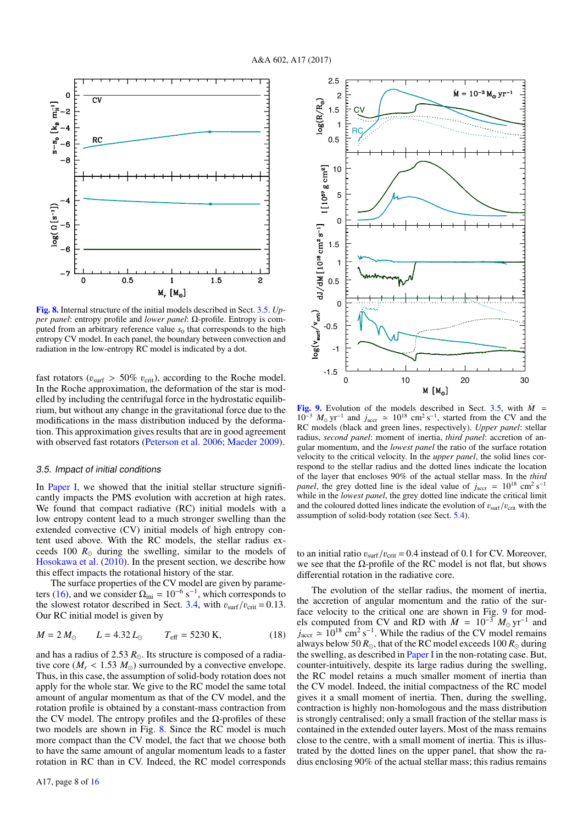

[Fig. 8.](http://dexter.edpsciences.org/applet.php?DOI=10.1051/0004-6361/201630149&pdf_id=8) Internal structure of the initial models described in Sect. 3.5. *Upper panel*: entropy profile and *lower panel*: Ω-profile. Entropy is computed from an arbitrary reference value  $s_0$  that corresponds to the high entropy CV model. In each panel, the boundary between convection and radiation in the low-entropy RC model is indicated by a dot.

fast rotators ( $v_{\text{surf}} > 50\% v_{\text{crit}}$ ), according to the Roche model. In the Roche approximation, the deformation of the star is modelled by including the centrifugal force in the hydrostatic equilibrium, but without any change in the gravitational force due to the modifications in the mass distribution induced by the deformation. This approximation gives results that are in good agreement with observed fast rotators (Peterson et al. 2006; Maeder 2009).

#### 3.5. Impact of initial conditions

In Paper I, we showed that the initial stellar structure significantly impacts the PMS evolution with accretion at high rates. We found that compact radiative (RC) initial models with a low entropy content lead to a much stronger swelling than the extended convective (CV) initial models of high entropy content used above. With the RC models, the stellar radius exceeds 100  $R_{\odot}$  during the swelling, similar to the models of Hosokawa et al. (2010). In the present section, we describe how this effect impacts the rotational history of the star.

The surface properties of the CV model are given by parameters (16), and we consider  $\Omega_{\text{ini}} = 10^{-6} \text{ s}^{-1}$ , which corresponds to the slowest rotator described in Sect. 3.4, with  $v_{\text{surf}}/v_{\text{crit}} = 0.13$ . Our RC initial model is given by

$$
M = 2 M_{\odot} \qquad L = 4.32 L_{\odot} \qquad T_{\text{eff}} = 5230 \text{ K}, \tag{18}
$$

and has a radius of 2.53  $R_{\odot}$ . Its structure is composed of a radiative core ( $M_r$  < 1.53  $M_{\odot}$ ) surrounded by a convective envelope. Thus, in this case, the assumption of solid-body rotation does not apply for the whole star. We give to the RC model the same total amount of angular momentum as that of the CV model, and the rotation profile is obtained by a constant-mass contraction from the CV model. The entropy profiles and the  $\Omega$ -profiles of these two models are shown in Fig. 8. Since the RC model is much more compact than the CV model, the fact that we choose both to have the same amount of angular momentum leads to a faster rotation in RC than in CV. Indeed, the RC model corresponds



[Fig. 9.](http://dexter.edpsciences.org/applet.php?DOI=10.1051/0004-6361/201630149&pdf_id=9) Evolution of the models described in Sect. 3.5, with  $\dot{M}$  =  $10^{-3}$   $M_{\odot}$  yr<sup>-1</sup> and  $j_{\text{accr}} \approx 10^{18}$  cm<sup>2</sup> s<sup>-1</sup>, started from the CV and the RC models (black and green lines, respectively). *Upper panel*: stellar radius, *second panel*: moment of inertia, *third panel*: accretion of angular momentum, and the *lowest panel* the ratio of the surface rotation velocity to the critical velocity. In the *upper panel*, the solid lines correspond to the stellar radius and the dotted lines indicate the location of the layer that encloses 90% of the actual stellar mass. In the *third panel*, the grey dotted line is the ideal value of  $j_{\text{accr}} = 10^{18} \text{ cm}^2 \text{ s}^{-1}$ while in the *lowest panel*, the grey dotted line indicate the critical limit and the coloured dotted lines indicate the evolution of  $v_{\text{surf}}/v_{\text{crit}}$  with the assumption of solid-body rotation (see Sect. 5.4).

to an initial ratio  $v_{\text{surf}}/v_{\text{crit}} = 0.4$  instead of 0.1 for CV. Moreover, we see that the  $\Omega$ -profile of the RC model is not flat, but shows differential rotation in the radiative core.

The evolution of the stellar radius, the moment of inertia, the accretion of angular momentum and the ratio of the surface velocity to the critical one are shown in Fig. 9 for models computed from CV and RD with  $\dot{M} = 10^{-3} M_{\odot} \text{ yr}^{-1}$  and  $j<sub>accr</sub> \approx 10^{18}$  cm<sup>2</sup> s<sup>-1</sup>. While the radius of the CV model remains always below 50  $R_{\odot}$ , that of the RC model exceeds 100  $R_{\odot}$  during the swelling, as described in Paper I in the non-rotating case. But, counter-intuitively, despite its large radius during the swelling, the RC model retains a much smaller moment of inertia than the CV model. Indeed, the initial compactness of the RC model gives it a small moment of inertia. Then, during the swelling, contraction is highly non-homologous and the mass distribution is strongly centralised; only a small fraction of the stellar mass is contained in the extended outer layers. Most of the mass remains close to the centre, with a small moment of inertia. This is illustrated by the dotted lines on the upper panel, that show the radius enclosing 90% of the actual stellar mass; this radius remains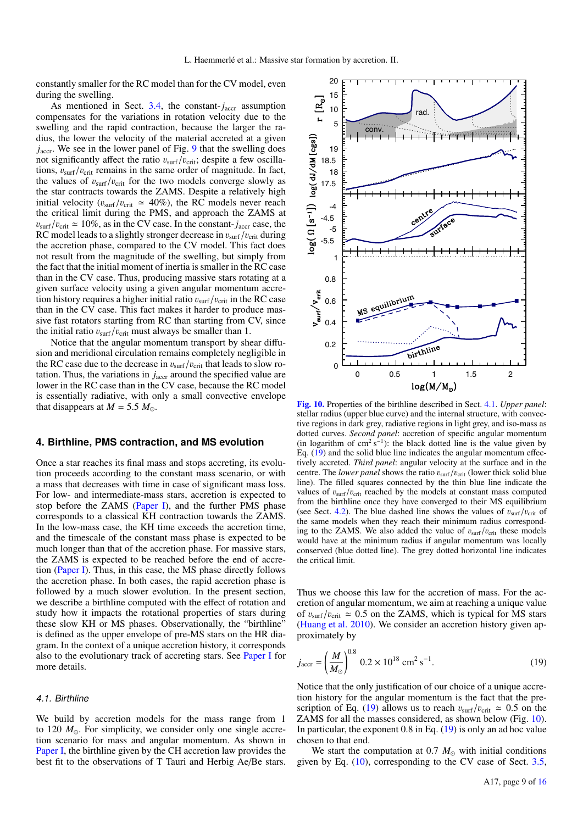constantly smaller for the RC model than for the CV model, even during the swelling.

As mentioned in Sect. 3.4, the constant-*j*<sub>accr</sub> assumption compensates for the variations in rotation velocity due to the swelling and the rapid contraction, because the larger the radius, the lower the velocity of the material accreted at a given  $j<sub>accr</sub>$ . We see in the lower panel of Fig. 9 that the swelling does not significantly affect the ratio  $v_{\text{surf}}/v_{\text{crit}}$ ; despite a few oscillations,  $v<sub>surf</sub>/v<sub>crit</sub>$  remains in the same order of magnitude. In fact, the values of  $v_{\text{surf}}/v_{\text{crit}}$  for the two models converge slowly as the star contracts towards the ZAMS. Despite a relatively high initial velocity ( $v_{\text{surf}}/v_{\text{crit}} \approx 40\%$ ), the RC models never reach the critical limit during the PMS, and approach the ZAMS at  $v_{\text{surf}}/v_{\text{crit}} \simeq 10\%$ , as in the CV case. In the constant-*j*<sub>accr</sub> case, the RC model leads to a slightly stronger decrease in  $v_{\text{surf}}/v_{\text{crit}}$  during the accretion phase, compared to the CV model. This fact does not result from the magnitude of the swelling, but simply from the fact that the initial moment of inertia is smaller in the RC case than in the CV case. Thus, producing massive stars rotating at a given surface velocity using a given angular momentum accretion history requires a higher initial ratio  $v_{\text{surf}}/v_{\text{crit}}$  in the RC case than in the CV case. This fact makes it harder to produce massive fast rotators starting from RC than starting from CV, since the initial ratio  $v_{\text{surf}}/v_{\text{crit}}$  must always be smaller than 1.

Notice that the angular momentum transport by shear diffusion and meridional circulation remains completely negligible in the RC case due to the decrease in  $v_{\text{surf}}/v_{\text{crit}}$  that leads to slow rotation. Thus, the variations in  $j<sub>accr</sub>$  around the specified value are lower in the RC case than in the CV case, because the RC model is essentially radiative, with only a small convective envelope that disappears at  $M = 5.5$   $M_{\odot}$ .

#### **4. Birthline, PMS contraction, and MS evolution**

Once a star reaches its final mass and stops accreting, its evolution proceeds according to the constant mass scenario, or with a mass that decreases with time in case of significant mass loss. For low- and intermediate-mass stars, accretion is expected to stop before the ZAMS (Paper I), and the further PMS phase corresponds to a classical KH contraction towards the ZAMS. In the low-mass case, the KH time exceeds the accretion time, and the timescale of the constant mass phase is expected to be much longer than that of the accretion phase. For massive stars, the ZAMS is expected to be reached before the end of accretion (Paper I). Thus, in this case, the MS phase directly follows the accretion phase. In both cases, the rapid accretion phase is followed by a much slower evolution. In the present section, we describe a birthline computed with the effect of rotation and study how it impacts the rotational properties of stars during these slow KH or MS phases. Observationally, the "birthline" is defined as the upper envelope of pre-MS stars on the HR diagram. In the context of a unique accretion history, it corresponds also to the evolutionary track of accreting stars. See Paper I for more details.

#### 4.1. Birthline

We build by accretion models for the mass range from 1 to 120  $M_{\odot}$ . For simplicity, we consider only one single accretion scenario for mass and angular momentum. As shown in Paper I, the birthline given by the CH accretion law provides the best fit to the observations of T Tauri and Herbig Ae/Be stars.



[Fig. 10.](http://dexter.edpsciences.org/applet.php?DOI=10.1051/0004-6361/201630149&pdf_id=10) Properties of the birthline described in Sect. 4.1. *Upper panel*: stellar radius (upper blue curve) and the internal structure, with convective regions in dark grey, radiative regions in light grey, and iso-mass as dotted curves. *Second panel*: accretion of specific angular momentum (in logarithm of cm<sup>2</sup> s<sup>-1</sup>): the black dotted line is the value given by Eq. (19) and the solid blue line indicates the angular momentum effectively accreted. *Third panel*: angular velocity at the surface and in the centre. The *lower panel* shows the ratio  $v_{\text{surf}}/v_{\text{crit}}$  (lower thick solid blue line). The filled squares connected by the thin blue line indicate the values of  $v_{\text{surf}}/v_{\text{crit}}$  reached by the models at constant mass computed from the birthline once they have converged to their MS equilibrium (see Sect. 4.2). The blue dashed line shows the values of  $v_{\text{surf}}/v_{\text{crit}}$  of the same models when they reach their minimum radius corresponding to the ZAMS. We also added the value of  $v_{\text{surf}}/v_{\text{crit}}$  these models would have at the minimum radius if angular momentum was locally conserved (blue dotted line). The grey dotted horizontal line indicates the critical limit.

Thus we choose this law for the accretion of mass. For the accretion of angular momentum, we aim at reaching a unique value of  $v_{\text{surf}}/v_{\text{crit}} \approx 0.5$  on the ZAMS, which is typical for MS stars (Huang et al. 2010). We consider an accretion history given approximately by

$$
j_{\text{accr}} = \left(\frac{M}{M_{\odot}}\right)^{0.8} 0.2 \times 10^{18} \text{ cm}^2 \text{ s}^{-1}.
$$
 (19)

Notice that the only justification of our choice of a unique accretion history for the angular momentum is the fact that the prescription of Eq. (19) allows us to reach  $v_{\text{surf}}/v_{\text{crit}} \approx 0.5$  on the ZAMS for all the masses considered, as shown below (Fig. 10). In particular, the exponent  $0.8$  in Eq.  $(19)$  is only an ad hoc value chosen to that end.

We start the computation at  $0.7 M_{\odot}$  with initial conditions given by Eq.  $(10)$ , corresponding to the CV case of Sect. 3.5,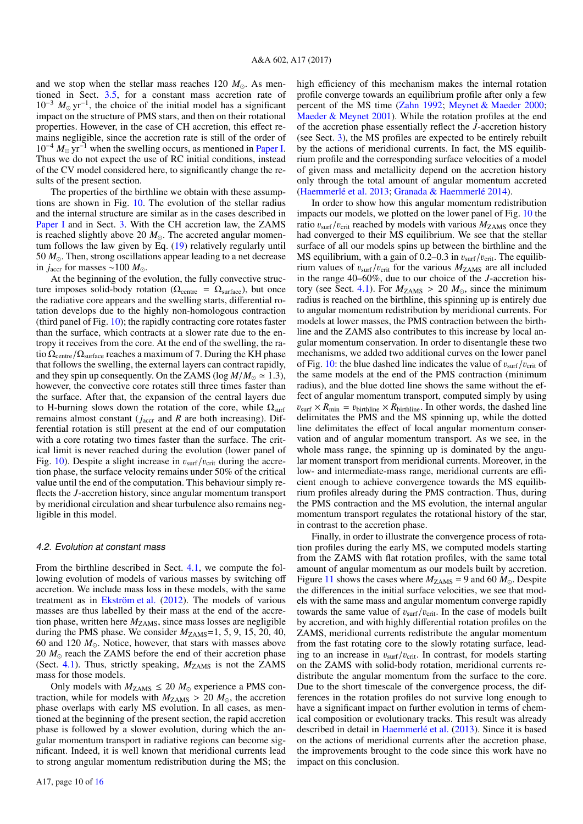and we stop when the stellar mass reaches 120  $M_{\odot}$ . As mentioned in Sect. 3.5, for a constant mass accretion rate of  $10^{-3}$   $M_{\odot}$  yr<sup>-1</sup>, the choice of the initial model has a significant impact on the structure of PMS stars, and then on their rotational properties. However, in the case of CH accretion, this effect remains negligible, since the accretion rate is still of the order of  $10^{-4}$   $M_{\odot}$  yr<sup>-1</sup> when the swelling occurs, as mentioned in Paper I. Thus we do not expect the use of RC initial conditions, instead of the CV model considered here, to significantly change the results of the present section.

The properties of the birthline we obtain with these assumptions are shown in Fig. 10. The evolution of the stellar radius and the internal structure are similar as in the cases described in Paper I and in Sect. 3. With the CH accretion law, the ZAMS is reached slightly above 20  $M_{\odot}$ . The accreted angular momentum follows the law given by Eq. (19) relatively regularly until  $50 M_{\odot}$ . Then, strong oscillations appear leading to a net decrease in *j*<sub>accr</sub> for masses ~100  $M_{\odot}$ .

At the beginning of the evolution, the fully convective structure imposes solid-body rotation ( $\Omega_{\text{centre}} = \Omega_{\text{surface}}$ ), but once the radiative core appears and the swelling starts, differential rotation develops due to the highly non-homologous contraction (third panel of Fig. 10); the rapidly contracting core rotates faster than the surface, which contracts at a slower rate due to the entropy it receives from the core. At the end of the swelling, the ratio  $\Omega_{\text{centre}}/\Omega_{\text{surface}}$  reaches a maximum of 7. During the KH phase that follows the swelling, the external layers can contract rapidly, and they spin up consequently. On the ZAMS ( $log M/M_{\odot} \simeq 1.3$ ), however, the convective core rotates still three times faster than the surface. After that, the expansion of the central layers due to H-burning slows down the rotation of the core, while  $\Omega_{\text{surf}}$ remains almost constant (*j*<sub>accr</sub> and *R* are both increasing). Differential rotation is still present at the end of our computation with a core rotating two times faster than the surface. The critical limit is never reached during the evolution (lower panel of Fig. 10). Despite a slight increase in  $v_{\text{surf}}/v_{\text{crit}}$  during the accretion phase, the surface velocity remains under 50% of the critical value until the end of the computation. This behaviour simply reflects the *J*-accretion history, since angular momentum transport by meridional circulation and shear turbulence also remains negligible in this model.

#### 4.2. Evolution at constant mass

From the birthline described in Sect. 4.1, we compute the following evolution of models of various masses by switching off accretion. We include mass loss in these models, with the same treatment as in Ekström et al. (2012). The models of various masses are thus labelled by their mass at the end of the accretion phase, written here  $M_{\text{ZAMS}}$ , since mass losses are negligible during the PMS phase. We consider  $M<sub>ZAMS</sub>=1, 5, 9, 15, 20, 40$ , 60 and 120  $M_{\odot}$ . Notice, however, that stars with masses above  $20 M_{\odot}$  reach the ZAMS before the end of their accretion phase (Sect. 4.1). Thus, strictly speaking,  $M_{ZAMS}$  is not the ZAMS mass for those models.

Only models with  $M_{\text{ZAMS}} \leq 20 M_{\odot}$  experience a PMS contraction, while for models with  $M_{\text{ZAMS}} > 20$   $M_{\odot}$ , the accretion phase overlaps with early MS evolution. In all cases, as mentioned at the beginning of the present section, the rapid accretion phase is followed by a slower evolution, during which the angular momentum transport in radiative regions can become significant. Indeed, it is well known that meridional currents lead to strong angular momentum redistribution during the MS; the

high efficiency of this mechanism makes the internal rotation profile converge towards an equilibrium profile after only a few percent of the MS time (Zahn 1992; Meynet & Maeder 2000; Maeder & Meynet 2001). While the rotation profiles at the end of the accretion phase essentially reflect the *J*-accretion history (see Sect. 3), the MS profiles are expected to be entirely rebuilt by the actions of meridional currents. In fact, the MS equilibrium profile and the corresponding surface velocities of a model of given mass and metallicity depend on the accretion history only through the total amount of angular momentum accreted (Haemmerlé et al. 2013; Granada & Haemmerlé 2014).

In order to show how this angular momentum redistribution impacts our models, we plotted on the lower panel of Fig. 10 the ratio  $v<sub>surf</sub>/v<sub>crit</sub>$  reached by models with various  $M<sub>ZAMS</sub>$  once they had converged to their MS equilibrium. We see that the stellar surface of all our models spins up between the birthline and the MS equilibrium, with a gain of 0.2–0.3 in  $v_{\text{surf}}/v_{\text{crit}}$ . The equilibrium values of  $v_{\text{surf}}/v_{\text{crit}}$  for the various  $M_{\text{ZAMS}}$  are all included in the range 40–60%, due to our choice of the *J*-accretion history (see Sect. 4.1). For  $M_{ZAMS} > 20$   $M_{\odot}$ , since the minimum radius is reached on the birthline, this spinning up is entirely due to angular momentum redistribution by meridional currents. For models at lower masses, the PMS contraction between the birthline and the ZAMS also contributes to this increase by local angular momentum conservation. In order to disentangle these two mechanisms, we added two additional curves on the lower panel of Fig. 10: the blue dashed line indicates the value of  $v_{\text{surf}}/v_{\text{crit}}$  of the same models at the end of the PMS contraction (minimum radius), and the blue dotted line shows the same without the effect of angular momentum transport, computed simply by using  $v_{\text{surf}} \times R_{\text{min}} = v_{\text{birthline}} \times R_{\text{birthline}}$ . In other words, the dashed line delimitates the PMS and the MS spinning up, while the dotted line delimitates the effect of local angular momentum conservation and of angular momentum transport. As we see, in the whole mass range, the spinning up is dominated by the angular moment transport from meridional currents. Moreover, in the low- and intermediate-mass range, meridional currents are efficient enough to achieve convergence towards the MS equilibrium profiles already during the PMS contraction. Thus, during the PMS contraction and the MS evolution, the internal angular momentum transport regulates the rotational history of the star, in contrast to the accretion phase.

Finally, in order to illustrate the convergence process of rotation profiles during the early MS, we computed models starting from the ZAMS with flat rotation profiles, with the same total amount of angular momentum as our models built by accretion. Figure 11 shows the cases where  $M_{\text{ZAMS}} = 9$  and 60  $M_{\odot}$ . Despite the differences in the initial surface velocities, we see that models with the same mass and angular momentum converge rapidly towards the same value of  $v_{\text{surf}}/v_{\text{crit}}$ . In the case of models built by accretion, and with highly differential rotation profiles on the ZAMS, meridional currents redistribute the angular momentum from the fast rotating core to the slowly rotating surface, leading to an increase in  $v_{\text{surf}}/v_{\text{crit}}$ . In contrast, for models starting on the ZAMS with solid-body rotation, meridional currents redistribute the angular momentum from the surface to the core. Due to the short timescale of the convergence process, the differences in the rotation profiles do not survive long enough to have a significant impact on further evolution in terms of chemical composition or evolutionary tracks. This result was already described in detail in Haemmerlé et al. (2013). Since it is based on the actions of meridional currents after the accretion phase, the improvements brought to the code since this work have no impact on this conclusion.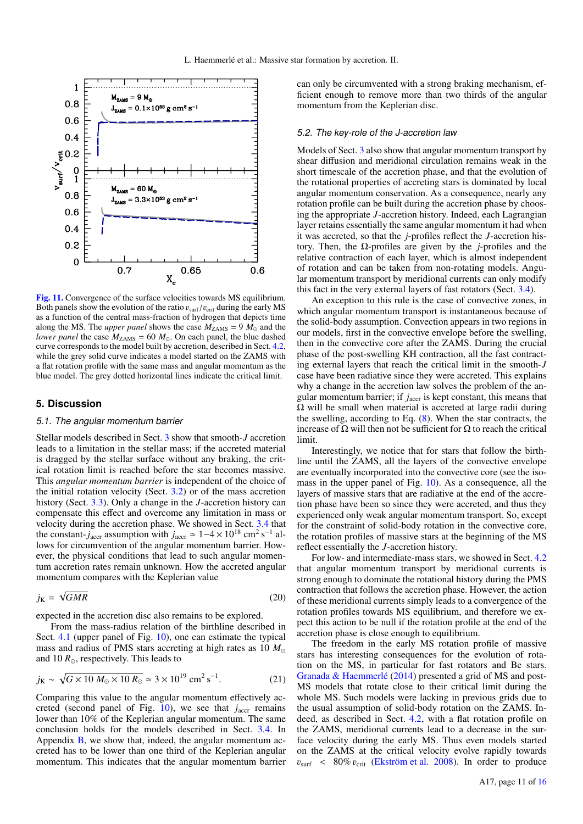

[Fig. 11.](http://dexter.edpsciences.org/applet.php?DOI=10.1051/0004-6361/201630149&pdf_id=11) Convergence of the surface velocities towards MS equilibrium. Both panels show the evolution of the ratio  $v_{\text{surf}}/v_{\text{crit}}$  during the early MS as a function of the central mass-fraction of hydrogen that depicts time along the MS. The *upper panel* shows the case  $M_{ZAMS} = 9 \overline{M_{\odot}}$  and the *lower panel* the case  $M_{ZAMS} = 60 M_{\odot}$ . On each panel, the blue dashed curve corresponds to the model built by accretion, described in Sect. 4.2, while the grey solid curve indicates a model started on the ZAMS with a flat rotation profile with the same mass and angular momentum as the blue model. The grey dotted horizontal lines indicate the critical limit.

#### **5. Discussion**

#### 5.1. The angular momentum barrier

Stellar models described in Sect. 3 show that smooth-*J* accretion leads to a limitation in the stellar mass; if the accreted material is dragged by the stellar surface without any braking, the critical rotation limit is reached before the star becomes massive. This *angular momentum barrier* is independent of the choice of the initial rotation velocity (Sect. 3.2) or of the mass accretion history (Sect. 3.3). Only a change in the *J*-accretion history can compensate this effect and overcome any limitation in mass or velocity during the accretion phase. We showed in Sect. 3.4 that the constant-*j*<sub>accr</sub> assumption with *j*<sub>accr</sub>  $\simeq 1-4 \times 10^{18}$  cm<sup>2</sup> s<sup>-1</sup> allows for circumvention of the angular momentum barrier. However, the physical conditions that lead to such angular momentum accretion rates remain unknown. How the accreted angular momentum compares with the Keplerian value

$$
j_{\rm K} = \sqrt{GMR} \tag{20}
$$

expected in the accretion disc also remains to be explored.

From the mass-radius relation of the birthline described in Sect. 4.1 (upper panel of Fig. 10), one can estimate the typical mass and radius of PMS stars accreting at high rates as 10 *M* and 10  $R_{\odot}$ , respectively. This leads to

$$
j_{\rm K} \sim \sqrt{G \times 10 \, M_{\odot} \times 10 \, R_{\odot}} \simeq 3 \times 10^{19} \, \text{cm}^2 \, \text{s}^{-1}.
$$
 (21)

Comparing this value to the angular momentum effectively accreted (second panel of Fig.  $10$ ), we see that  $j<sub>accr</sub>$  remains lower than 10% of the Keplerian angular momentum. The same conclusion holds for the models described in Sect. 3.4. In Appendix B, we show that, indeed, the angular momentum accreted has to be lower than one third of the Keplerian angular momentum. This indicates that the angular momentum barrier can only be circumvented with a strong braking mechanism, efficient enough to remove more than two thirds of the angular momentum from the Keplerian disc.

#### 5.2. The key-role of the J-accretion law

Models of Sect. 3 also show that angular momentum transport by shear diffusion and meridional circulation remains weak in the short timescale of the accretion phase, and that the evolution of the rotational properties of accreting stars is dominated by local angular momentum conservation. As a consequence, nearly any rotation profile can be built during the accretion phase by choosing the appropriate *J*-accretion history. Indeed, each Lagrangian layer retains essentially the same angular momentum it had when it was accreted, so that the *j*-profiles reflect the *J*-accretion history. Then, the Ω-profiles are given by the *j*-profiles and the relative contraction of each layer, which is almost independent of rotation and can be taken from non-rotating models. Angular momentum transport by meridional currents can only modify this fact in the very external layers of fast rotators (Sect. 3.4).

An exception to this rule is the case of convective zones, in which angular momentum transport is instantaneous because of the solid-body assumption. Convection appears in two regions in our models, first in the convective envelope before the swelling, then in the convective core after the ZAMS. During the crucial phase of the post-swelling KH contraction, all the fast contracting external layers that reach the critical limit in the smooth-*J* case have been radiative since they were accreted. This explains why a change in the accretion law solves the problem of the angular momentum barrier; if  $j<sub>accr</sub>$  is kept constant, this means that  $\Omega$  will be small when material is accreted at large radii during the swelling, according to Eq. (8). When the star contracts, the increase of Ω will then not be sufficient for Ω to reach the critical limit.

Interestingly, we notice that for stars that follow the birthline until the ZAMS, all the layers of the convective envelope are eventually incorporated into the convective core (see the isomass in the upper panel of Fig. 10). As a consequence, all the layers of massive stars that are radiative at the end of the accretion phase have been so since they were accreted, and thus they experienced only weak angular momentum transport. So, except for the constraint of solid-body rotation in the convective core, the rotation profiles of massive stars at the beginning of the MS reflect essentially the *J*-accretion history.

For low- and intermediate-mass stars, we showed in Sect. 4.2 that angular momentum transport by meridional currents is strong enough to dominate the rotational history during the PMS contraction that follows the accretion phase. However, the action of these meridional currents simply leads to a convergence of the rotation profiles towards MS equilibrium, and therefore we expect this action to be null if the rotation profile at the end of the accretion phase is close enough to equilibrium.

The freedom in the early MS rotation profile of massive stars has interesting consequences for the evolution of rotation on the MS, in particular for fast rotators and Be stars. Granada & Haemmerlé (2014) presented a grid of MS and post-MS models that rotate close to their critical limit during the whole MS. Such models were lacking in previous grids due to the usual assumption of solid-body rotation on the ZAMS. Indeed, as described in Sect. 4.2, with a flat rotation profile on the ZAMS, meridional currents lead to a decrease in the surface velocity during the early MS. Thus even models started on the ZAMS at the critical velocity evolve rapidly towards  $v_{\text{surf}}$  < 80%  $v_{\text{crit}}$  (Ekström et al. 2008). In order to produce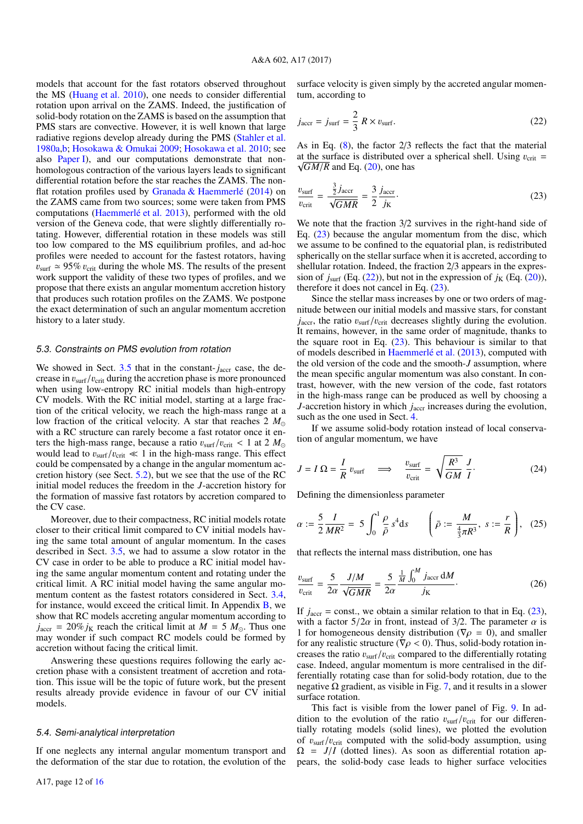models that account for the fast rotators observed throughout the MS (Huang et al. 2010), one needs to consider differential rotation upon arrival on the ZAMS. Indeed, the justification of solid-body rotation on the ZAMS is based on the assumption that PMS stars are convective. However, it is well known that large radiative regions develop already during the PMS (Stahler et al. 1980a,b; Hosokawa & Omukai 2009; Hosokawa et al. 2010; see also Paper I), and our computations demonstrate that nonhomologous contraction of the various layers leads to significant differential rotation before the star reaches the ZAMS. The nonflat rotation profiles used by Granada & Haemmerlé (2014) on the ZAMS came from two sources; some were taken from PMS computations (Haemmerlé et al. 2013), performed with the old version of the Geneva code, that were slightly differentially rotating. However, differential rotation in these models was still too low compared to the MS equilibrium profiles, and ad-hoc profiles were needed to account for the fastest rotators, having  $v_{\text{surf}} \approx 95\% v_{\text{crit}}$  during the whole MS. The results of the present work support the validity of these two types of profiles, and we propose that there exists an angular momentum accretion history that produces such rotation profiles on the ZAMS. We postpone the exact determination of such an angular momentum accretion history to a later study.

#### 5.3. Constraints on PMS evolution from rotation

We showed in Sect.  $3.5$  that in the constant- $j<sub>accr</sub>$  case, the decrease in  $v<sub>surf</sub>/v<sub>crit</sub>$  during the accretion phase is more pronounced when using low-entropy RC initial models than high-entropy CV models. With the RC initial model, starting at a large fraction of the critical velocity, we reach the high-mass range at a low fraction of the critical velocity. A star that reaches 2 *M* with a RC structure can rarely become a fast rotator once it enters the high-mass range, because a ratio  $v_{\text{surf}}/v_{\text{crit}} < 1$  at 2  $M_{\odot}$ would lead to  $v_{\text{surf}}/v_{\text{crit}} \ll 1$  in the high-mass range. This effect could be compensated by a change in the angular momentum accretion history (see Sect. 5.2), but we see that the use of the RC initial model reduces the freedom in the *J*-accretion history for the formation of massive fast rotators by accretion compared to the CV case.

Moreover, due to their compactness, RC initial models rotate closer to their critical limit compared to CV initial models having the same total amount of angular momentum. In the cases described in Sect. 3.5, we had to assume a slow rotator in the CV case in order to be able to produce a RC initial model having the same angular momentum content and rotating under the critical limit. A RC initial model having the same angular momentum content as the fastest rotators considered in Sect. 3.4, for instance, would exceed the critical limit. In Appendix  $\overline{B}$ , we show that RC models accreting angular momentum according to  $j_{\text{accr}} = 20\% j_{\text{K}}$  reach the critical limit at  $M = 5 M_{\odot}$ . Thus one may wonder if such compact RC models could be formed by accretion without facing the critical limit.

Answering these questions requires following the early accretion phase with a consistent treatment of accretion and rotation. This issue will be the topic of future work, but the present results already provide evidence in favour of our CV initial models.

#### 5.4. Semi-analytical interpretation

If one neglects any internal angular momentum transport and the deformation of the star due to rotation, the evolution of the

surface velocity is given simply by the accreted angular momentum, according to

$$
j_{\text{accr}} = j_{\text{surf}} = \frac{2}{3} R \times v_{\text{surf}}.
$$
 (22)

As in Eq. (8), the factor 2/3 reflects the fact that the material at the surface is distributed over a spherical shell. Using  $v_{\text{crit}} = \sqrt{GM/R}$  and Eq. (20) one has  $\sqrt{GM/R}$  and Eq. (20), one has

$$
\frac{v_{\text{surf}}}{v_{\text{crit}}} = \frac{\frac{3}{2}j_{\text{accr}}}{\sqrt{GMR}} = \frac{3}{2} \frac{j_{\text{accr}}}{j_{\text{K}}}.
$$
\n(23)

We note that the fraction  $3/2$  survives in the right-hand side of Eq.  $(23)$  because the angular momentum from the disc, which we assume to be confined to the equatorial plan, is redistributed spherically on the stellar surface when it is accreted, according to shellular rotation. Indeed, the fraction 2/3 appears in the expression of  $j_{\text{surf}}$  (Eq. (22)), but not in the expression of  $j_K$  (Eq. (20)), therefore it does not cancel in Eq. (23).

Since the stellar mass increases by one or two orders of magnitude between our initial models and massive stars, for constant  $j<sub>accr</sub>$ , the ratio  $v<sub>surf</sub>/v<sub>crit</sub>$  decreases slightly during the evolution. It remains, however, in the same order of magnitude, thanks to the square root in Eq.  $(23)$ . This behaviour is similar to that of models described in Haemmerlé et al. (2013), computed with the old version of the code and the smooth-*J* assumption, where the mean specific angular momentum was also constant. In contrast, however, with the new version of the code, fast rotators in the high-mass range can be produced as well by choosing a *J*-accretion history in which *j*<sub>accr</sub> increases during the evolution, such as the one used in Sect. 4.

If we assume solid-body rotation instead of local conservation of angular momentum, we have

$$
J = I \Omega = \frac{I}{R} v_{\text{surf}} \implies \frac{v_{\text{surf}}}{v_{\text{crit}}} = \sqrt{\frac{R^3}{GM}} \frac{J}{I}.
$$
 (24)

Defining the dimensionless parameter

$$
\alpha := \frac{5}{2} \frac{I}{MR^2} = 5 \int_0^1 \frac{\rho}{\bar{\rho}} s^4 ds \qquad \left( \bar{\rho} := \frac{M}{\frac{4}{3}\pi R^3}, \ s := \frac{r}{R} \right), \tag{25}
$$

that reflects the internal mass distribution, one has

$$
\frac{v_{\text{surf}}}{v_{\text{crit}}} = \frac{5}{2\alpha} \frac{J/M}{\sqrt{GMR}} = \frac{5}{2\alpha} \frac{\frac{1}{M} \int_0^M j_{\text{accr}} \, \text{d}M}{j_{\text{K}}}.
$$
 (26)

If  $j<sub>accr</sub> = const.,$  we obtain a similar relation to that in Eq. (23), with a factor  $5/2\alpha$  in front, instead of 3/2. The parameter  $\alpha$  is 1 for homogeneous density distribution ( $\nabla \rho = 0$ ), and smaller for any realistic structure ( $\nabla \rho < 0$ ). Thus, solid-body rotation increases the ratio  $v_{\text{surf}}/v_{\text{crit}}$  compared to the differentially rotating case. Indeed, angular momentum is more centralised in the differentially rotating case than for solid-body rotation, due to the negative  $\Omega$  gradient, as visible in Fig. 7, and it results in a slower surface rotation.

This fact is visible from the lower panel of Fig. 9. In addition to the evolution of the ratio  $v_{\text{surf}}/v_{\text{crit}}$  for our differentially rotating models (solid lines), we plotted the evolution of  $v_{\text{surf}}/v_{\text{crit}}$  computed with the solid-body assumption, using  $\Omega = J/I$  (dotted lines). As soon as differential rotation appears, the solid-body case leads to higher surface velocities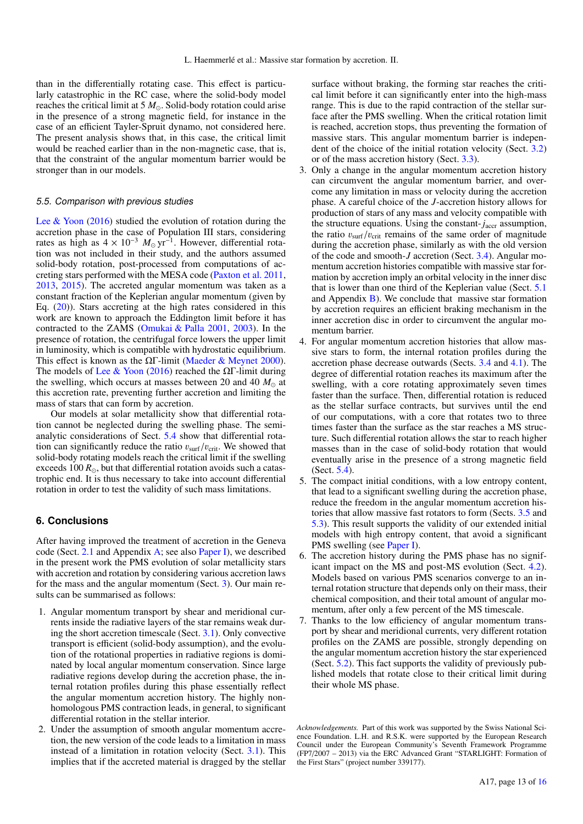than in the differentially rotating case. This effect is particularly catastrophic in the RC case, where the solid-body model reaches the critical limit at  $5 M_{\odot}$ . Solid-body rotation could arise in the presence of a strong magnetic field, for instance in the case of an efficient Tayler-Spruit dynamo, not considered here. The present analysis shows that, in this case, the critical limit would be reached earlier than in the non-magnetic case, that is, that the constraint of the angular momentum barrier would be stronger than in our models.

#### 5.5. Comparison with previous studies

Lee & Yoon (2016) studied the evolution of rotation during the accretion phase in the case of Population III stars, considering rates as high as  $4 \times 10^{-3}$   $M_{\odot}$  yr<sup>-1</sup>. However, differential rotation was not included in their study, and the authors assumed solid-body rotation, post-processed from computations of accreting stars performed with the MESA code (Paxton et al. 2011, 2013, 2015). The accreted angular momentum was taken as a constant fraction of the Keplerian angular momentum (given by Eq.  $(20)$ ). Stars accreting at the high rates considered in this work are known to approach the Eddington limit before it has contracted to the ZAMS (Omukai & Palla 2001, 2003). In the presence of rotation, the centrifugal force lowers the upper limit in luminosity, which is compatible with hydrostatic equilibrium. This effect is known as the  $ΩΓ$ -limit (Maeder & Meynet 2000). The models of Lee & Yoon (2016) reached the  $\Omega$ Γ-limit during the swelling, which occurs at masses between 20 and 40  $M_{\odot}$  at this accretion rate, preventing further accretion and limiting the mass of stars that can form by accretion.

Our models at solar metallicity show that differential rotation cannot be neglected during the swelling phase. The semianalytic considerations of Sect. 5.4 show that differential rotation can significantly reduce the ratio  $v_{\text{surf}}/v_{\text{crit}}$ . We showed that solid-body rotating models reach the critical limit if the swelling exceeds 100  $R_{\odot}$ , but that differential rotation avoids such a catastrophic end. It is thus necessary to take into account differential rotation in order to test the validity of such mass limitations.

#### **6. Conclusions**

After having improved the treatment of accretion in the Geneva code (Sect. 2.1 and Appendix A; see also Paper I), we described in the present work the PMS evolution of solar metallicity stars with accretion and rotation by considering various accretion laws for the mass and the angular momentum (Sect. 3). Our main results can be summarised as follows:

- 1. Angular momentum transport by shear and meridional currents inside the radiative layers of the star remains weak during the short accretion timescale (Sect. 3.1). Only convective transport is efficient (solid-body assumption), and the evolution of the rotational properties in radiative regions is dominated by local angular momentum conservation. Since large radiative regions develop during the accretion phase, the internal rotation profiles during this phase essentially reflect the angular momentum accretion history. The highly nonhomologous PMS contraction leads, in general, to significant differential rotation in the stellar interior.
- 2. Under the assumption of smooth angular momentum accretion, the new version of the code leads to a limitation in mass instead of a limitation in rotation velocity (Sect. 3.1). This implies that if the accreted material is dragged by the stellar

surface without braking, the forming star reaches the critical limit before it can significantly enter into the high-mass range. This is due to the rapid contraction of the stellar surface after the PMS swelling. When the critical rotation limit is reached, accretion stops, thus preventing the formation of massive stars. This angular momentum barrier is independent of the choice of the initial rotation velocity (Sect. 3.2) or of the mass accretion history (Sect. 3.3).

- 3. Only a change in the angular momentum accretion history can circumvent the angular momentum barrier, and overcome any limitation in mass or velocity during the accretion phase. A careful choice of the *J*-accretion history allows for production of stars of any mass and velocity compatible with the structure equations. Using the constant-*j*accr assumption, the ratio  $v_{\text{surf}}/v_{\text{crit}}$  remains of the same order of magnitude during the accretion phase, similarly as with the old version of the code and smooth-*J* accretion (Sect. 3.4). Angular momentum accretion histories compatible with massive star formation by accretion imply an orbital velocity in the inner disc that is lower than one third of the Keplerian value (Sect. 5.1 and Appendix  $\bf{B}$ ). We conclude that massive star formation by accretion requires an efficient braking mechanism in the inner accretion disc in order to circumvent the angular momentum barrier.
- 4. For angular momentum accretion histories that allow massive stars to form, the internal rotation profiles during the accretion phase decrease outwards (Sects. 3.4 and 4.1). The degree of differential rotation reaches its maximum after the swelling, with a core rotating approximately seven times faster than the surface. Then, differential rotation is reduced as the stellar surface contracts, but survives until the end of our computations, with a core that rotates two to three times faster than the surface as the star reaches a MS structure. Such differential rotation allows the star to reach higher masses than in the case of solid-body rotation that would eventually arise in the presence of a strong magnetic field (Sect. 5.4).
- 5. The compact initial conditions, with a low entropy content, that lead to a significant swelling during the accretion phase, reduce the freedom in the angular momentum accretion histories that allow massive fast rotators to form (Sects. 3.5 and 5.3). This result supports the validity of our extended initial models with high entropy content, that avoid a significant PMS swelling (see Paper I).
- 6. The accretion history during the PMS phase has no significant impact on the MS and post-MS evolution (Sect. 4.2). Models based on various PMS scenarios converge to an internal rotation structure that depends only on their mass, their chemical composition, and their total amount of angular momentum, after only a few percent of the MS timescale.
- 7. Thanks to the low efficiency of angular momentum transport by shear and meridional currents, very different rotation profiles on the ZAMS are possible, strongly depending on the angular momentum accretion history the star experienced (Sect. 5.2). This fact supports the validity of previously published models that rotate close to their critical limit during their whole MS phase.

*Acknowledgements.* Part of this work was supported by the Swiss National Science Foundation. L.H. and R.S.K. were supported by the European Research Council under the European Community's Seventh Framework Programme (FP7/2007 – 2013) via the ERC Advanced Grant "STARLIGHT: Formation of the First Stars" (project number 339177).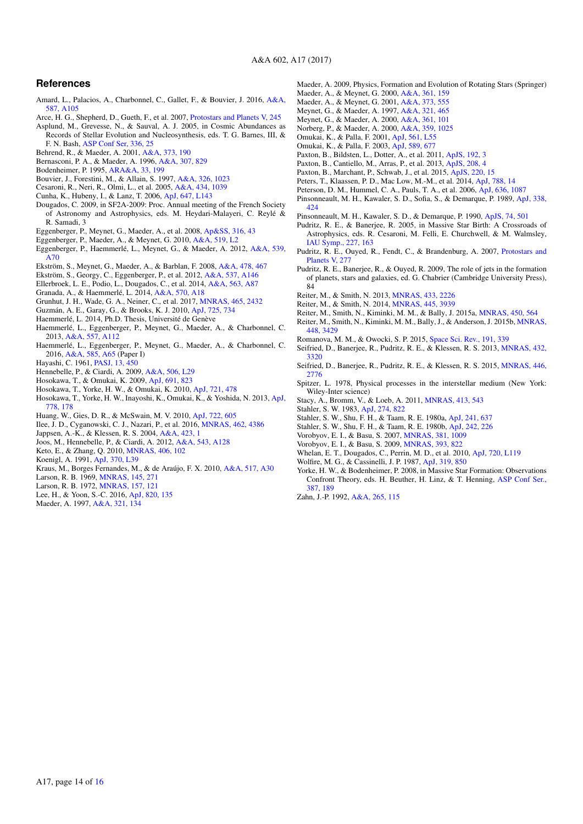#### **References**

- Amard, L., Palacios, A., Charbonnel, C., Gallet, F., & Bouvier, J. 2016, [A&A,](http://linker.aanda.org/10.1051/0004-6361/201630149/1) [587, A105](http://linker.aanda.org/10.1051/0004-6361/201630149/1)
- Arce, H. G., Shepherd, D., Gueth, F., et al. 2007, [Protostars and Planets V, 245](http://linker.aanda.org/10.1051/0004-6361/201630149/2)
- Asplund, M., Grevesse, N., & Sauval, A. J. 2005, in Cosmic Abundances as Records of Stellar Evolution and Nucleosynthesis, eds. T. G. Barnes, III, & F. N. Bash, [ASP Conf Ser, 336, 25](http://linker.aanda.org/10.1051/0004-6361/201630149/3)
- Behrend, R., & Maeder, A. 2001, [A&A, 373, 190](http://linker.aanda.org/10.1051/0004-6361/201630149/4)
- Bernasconi, P. A., & Maeder, A. 1996, [A&A, 307, 829](http://linker.aanda.org/10.1051/0004-6361/201630149/5)
- Bodenheimer, P. 1995, [ARA&A, 33, 199](http://linker.aanda.org/10.1051/0004-6361/201630149/6)
- Bouvier, J., Forestini, M., & Allain, S. 1997, [A&A, 326, 1023](http://linker.aanda.org/10.1051/0004-6361/201630149/7)
- Cesaroni, R., Neri, R., Olmi, L., et al. 2005, [A&A, 434, 1039](http://linker.aanda.org/10.1051/0004-6361/201630149/8)
- Cunha, K., Hubeny, I., & Lanz, T. 2006, [ApJ, 647, L143](http://linker.aanda.org/10.1051/0004-6361/201630149/9)
- Dougados, C. 2009, in SF2A-2009: Proc. Annual meeting of the French Society of Astronomy and Astrophysics, eds. M. Heydari-Malayeri, C. Reylé & R. Samadi, 3
- Eggenberger, P., Meynet, G., Maeder, A., et al. 2008, [Ap&SS, 316, 43](http://linker.aanda.org/10.1051/0004-6361/201630149/11)
- Eggenberger, P., Maeder, A., & Meynet, G. 2010, [A&A, 519, L2](http://linker.aanda.org/10.1051/0004-6361/201630149/12)
- Eggenberger, P., Haemmerlé, L., Meynet, G., & Maeder, A. 2012, [A&A, 539,](http://linker.aanda.org/10.1051/0004-6361/201630149/13) [A70](http://linker.aanda.org/10.1051/0004-6361/201630149/13)
- Ekström, S., Meynet, G., Maeder, A., & Barblan, F. 2008, [A&A, 478, 467](http://linker.aanda.org/10.1051/0004-6361/201630149/14)
- Ekström, S., Georgy, C., Eggenberger, P., et al. 2012, [A&A, 537, A146](http://linker.aanda.org/10.1051/0004-6361/201630149/15)
- Ellerbroek, L. E., Podio, L., Dougados, C., et al. 2014, [A&A, 563, A87](http://linker.aanda.org/10.1051/0004-6361/201630149/16)
- Granada, A., & Haemmerlé, L. 2014, [A&A, 570, A18](http://linker.aanda.org/10.1051/0004-6361/201630149/17)
- Grunhut, J. H., Wade, G. A., Neiner, C., et al. 2017, [MNRAS, 465, 2432](http://linker.aanda.org/10.1051/0004-6361/201630149/18)
- Guzmán, A. E., Garay, G., & Brooks, K. J. 2010, [ApJ, 725, 734](http://linker.aanda.org/10.1051/0004-6361/201630149/19)
- Haemmerlé, L. 2014, Ph.D. Thesis, Université de Genève
- Haemmerlé, L., Eggenberger, P., Meynet, G., Maeder, A., & Charbonnel, C. 2013, [A&A, 557, A112](http://linker.aanda.org/10.1051/0004-6361/201630149/21)
- Haemmerlé, L., Eggenberger, P., Meynet, G., Maeder, A., & Charbonnel, C. 2016, [A&A, 585, A65](http://linker.aanda.org/10.1051/0004-6361/201630149/22) (Paper I)
- Hayashi, C. 1961, [PASJ, 13, 450](http://linker.aanda.org/10.1051/0004-6361/201630149/23)
- Hennebelle, P., & Ciardi, A. 2009, [A&A, 506, L29](http://linker.aanda.org/10.1051/0004-6361/201630149/24)
- Hosokawa, T., & Omukai, K. 2009, [ApJ, 691, 823](http://linker.aanda.org/10.1051/0004-6361/201630149/25)
- Hosokawa, T., Yorke, H. W., & Omukai, K. 2010, [ApJ, 721, 478](http://linker.aanda.org/10.1051/0004-6361/201630149/26)
- Hosokawa, T., Yorke, H. W., Inayoshi, K., Omukai, K., & Yoshida, N. 2013, [ApJ,](http://linker.aanda.org/10.1051/0004-6361/201630149/27) [778, 178](http://linker.aanda.org/10.1051/0004-6361/201630149/27)
- Huang, W., Gies, D. R., & McSwain, M. V. 2010, [ApJ, 722, 605](http://linker.aanda.org/10.1051/0004-6361/201630149/28)
- Ilee, J. D., Cyganowski, C. J., Nazari, P., et al. 2016, [MNRAS, 462, 4386](http://linker.aanda.org/10.1051/0004-6361/201630149/29)
- Jappsen, A.-K., & Klessen, R. S. 2004, [A&A, 423, 1](http://linker.aanda.org/10.1051/0004-6361/201630149/30)
- Joos, M., Hennebelle, P., & Ciardi, A. 2012, [A&A, 543, A128](http://linker.aanda.org/10.1051/0004-6361/201630149/31)
- Keto, E., & Zhang, Q. 2010, [MNRAS, 406, 102](http://linker.aanda.org/10.1051/0004-6361/201630149/32)
- Koenigl, A. 1991, [ApJ, 370, L39](http://linker.aanda.org/10.1051/0004-6361/201630149/33)
- Kraus, M., Borges Fernandes, M., & de Araújo, F. X. 2010, [A&A, 517, A30](http://linker.aanda.org/10.1051/0004-6361/201630149/34)
- Larson, R. B. 1969, [MNRAS, 145, 271](http://linker.aanda.org/10.1051/0004-6361/201630149/35)
- Larson, R. B. 1972, [MNRAS, 157, 121](http://linker.aanda.org/10.1051/0004-6361/201630149/36)
- Lee, H., & Yoon, S.-C. 2016, [ApJ, 820, 135](http://linker.aanda.org/10.1051/0004-6361/201630149/37)
- Maeder, A. 1997, [A&A, 321, 134](http://linker.aanda.org/10.1051/0004-6361/201630149/38)
- Maeder, A. 2009, Physics, Formation and Evolution of Rotating Stars (Springer)
- Maeder, A., & Meynet, G. 2000, [A&A, 361, 159](http://linker.aanda.org/10.1051/0004-6361/201630149/40)
- Maeder, A., & Meynet, G. 2001, [A&A, 373, 555](http://linker.aanda.org/10.1051/0004-6361/201630149/41)
- Meynet, G., & Maeder, A. 1997, [A&A, 321, 465](http://linker.aanda.org/10.1051/0004-6361/201630149/42)
- Meynet, G., & Maeder, A. 2000, [A&A, 361, 101](http://linker.aanda.org/10.1051/0004-6361/201630149/43)
- Norberg, P., & Maeder, A. 2000, [A&A, 359, 1025](http://linker.aanda.org/10.1051/0004-6361/201630149/44)
- Omukai, K., & Palla, F. 2001, [ApJ, 561, L55](http://linker.aanda.org/10.1051/0004-6361/201630149/45)
- Omukai, K., & Palla, F. 2003, [ApJ, 589, 677](http://linker.aanda.org/10.1051/0004-6361/201630149/46)
- Paxton, B., Bildsten, L., Dotter, A., et al. 2011, [ApJS, 192, 3](http://linker.aanda.org/10.1051/0004-6361/201630149/47)
- Paxton, B., Cantiello, M., Arras, P., et al. 2013, [ApJS, 208, 4](http://linker.aanda.org/10.1051/0004-6361/201630149/48)
- Paxton, B., Marchant, P., Schwab, J., et al. 2015, [ApJS, 220, 15](http://linker.aanda.org/10.1051/0004-6361/201630149/49)
- Peters, T., Klaassen, P. D., Mac Low, M.-M., et al. 2014, [ApJ, 788, 14](http://linker.aanda.org/10.1051/0004-6361/201630149/50)
- Peterson, D. M., Hummel, C. A., Pauls, T. A., et al. 2006, [ApJ, 636, 1087](http://linker.aanda.org/10.1051/0004-6361/201630149/51)
- Pinsonneault, M. H., Kawaler, S. D., Sofia, S., & Demarque, P. 1989, [ApJ, 338,](http://linker.aanda.org/10.1051/0004-6361/201630149/52) [424](http://linker.aanda.org/10.1051/0004-6361/201630149/52)
- Pinsonneault, M. H., Kawaler, S. D., & Demarque, P. 1990, [ApJS, 74, 501](http://linker.aanda.org/10.1051/0004-6361/201630149/53)
- Pudritz, R. E., & Banerjee, R. 2005, in Massive Star Birth: A Crossroads of Astrophysics, eds. R. Cesaroni, M. Felli, E. Churchwell, & M. Walmsley, [IAU Symp., 227, 163](http://linker.aanda.org/10.1051/0004-6361/201630149/54)
- Pudritz, R. E., Ouyed, R., Fendt, C., & Brandenburg, A. 2007, [Protostars and](http://linker.aanda.org/10.1051/0004-6361/201630149/55) [Planets V, 277](http://linker.aanda.org/10.1051/0004-6361/201630149/55)
- Pudritz, R. E., Banerjee, R., & Ouyed, R. 2009, The role of jets in the formation of planets, stars and galaxies, ed. G. Chabrier (Cambridge University Press), 84
- Reiter, M., & Smith, N. 2013, [MNRAS, 433, 2226](http://linker.aanda.org/10.1051/0004-6361/201630149/57)
- Reiter, M., & Smith, N. 2014, [MNRAS, 445, 3939](http://linker.aanda.org/10.1051/0004-6361/201630149/58)
- Reiter, M., Smith, N., Kiminki, M. M., & Bally, J. 2015a, [MNRAS, 450, 564](http://linker.aanda.org/10.1051/0004-6361/201630149/59)
- Reiter, M., Smith, N., Kiminki, M. M., Bally, J., & Anderson, J. 2015b, [MNRAS,](http://linker.aanda.org/10.1051/0004-6361/201630149/60) [448, 3429](http://linker.aanda.org/10.1051/0004-6361/201630149/60)
- Romanova, M. M., & Owocki, S. P. 2015, [Space Sci. Rev., 191, 339](http://linker.aanda.org/10.1051/0004-6361/201630149/61)
- Seifried, D., Banerjee, R., Pudritz, R. E., & Klessen, R. S. 2013, [MNRAS, 432,](http://linker.aanda.org/10.1051/0004-6361/201630149/62) [3320](http://linker.aanda.org/10.1051/0004-6361/201630149/62)
- Seifried, D., Banerjee, R., Pudritz, R. E., & Klessen, R. S. 2015, [MNRAS, 446,](http://linker.aanda.org/10.1051/0004-6361/201630149/63) [2776](http://linker.aanda.org/10.1051/0004-6361/201630149/63)
- Spitzer, L. 1978, Physical processes in the interstellar medium (New York: Wiley-Inter science)
- Stacy, A., Bromm, V., & Loeb, A. 2011, [MNRAS, 413, 543](http://linker.aanda.org/10.1051/0004-6361/201630149/65)
- Stahler, S. W. 1983, [ApJ, 274, 822](http://linker.aanda.org/10.1051/0004-6361/201630149/66)
- Stahler, S. W., Shu, F. H., & Taam, R. E. 1980a, [ApJ, 241, 637](http://linker.aanda.org/10.1051/0004-6361/201630149/67)
- Stahler, S. W., Shu, F. H., & Taam, R. E. 1980b, [ApJ, 242, 226](http://linker.aanda.org/10.1051/0004-6361/201630149/68)
- Vorobyov, E. I., & Basu, S. 2007, [MNRAS, 381, 1009](http://linker.aanda.org/10.1051/0004-6361/201630149/69)
- Vorobyov, E. I., & Basu, S. 2009, [MNRAS, 393, 822](http://linker.aanda.org/10.1051/0004-6361/201630149/70)
- Whelan, E. T., Dougados, C., Perrin, M. D., et al. 2010, [ApJ, 720, L119](http://linker.aanda.org/10.1051/0004-6361/201630149/71)
- Wolfire, M. G., & Cassinelli, J. P. 1987, [ApJ, 319, 850](http://linker.aanda.org/10.1051/0004-6361/201630149/72)
- Yorke, H. W., & Bodenheimer, P. 2008, in Massive Star Formation: Observations
- Confront Theory, eds. H. Beuther, H. Linz, & T. Henning, [ASP Conf Ser.,](http://linker.aanda.org/10.1051/0004-6361/201630149/73) [387, 189](http://linker.aanda.org/10.1051/0004-6361/201630149/73)
- Zahn, J.-P. 1992, [A&A, 265, 115](http://linker.aanda.org/10.1051/0004-6361/201630149/74)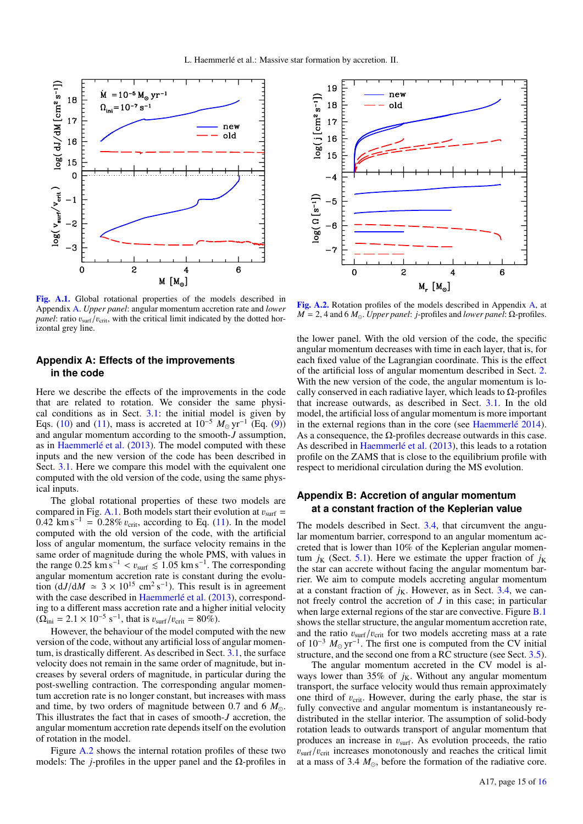

[Fig. A.1.](http://dexter.edpsciences.org/applet.php?DOI=10.1051/0004-6361/201630149&pdf_id=12) Global rotational properties of the models described in Appendix A. *Upper panel*: angular momentum accretion rate and *lower panel*: ratio  $v_{\text{surf}}/v_{\text{crit}}$ , with the critical limit indicated by the dotted horizontal grey line.

## **Appendix A: Effects of the improvements in the code**

Here we describe the effects of the improvements in the code that are related to rotation. We consider the same physical conditions as in Sect. 3.1: the initial model is given by Eqs. (10) and (11), mass is accreted at  $10^{-5}$   $M_{\odot}$  yr<sup>-1</sup> (Eq. (9)) and angular momentum according to the smooth-*J* assumption, as in Haemmerlé et al. (2013). The model computed with these inputs and the new version of the code has been described in Sect. 3.1. Here we compare this model with the equivalent one computed with the old version of the code, using the same physical inputs.

The global rotational properties of these two models are compared in Fig. A.1. Both models start their evolution at  $v_{\text{surf}} =$  $0.42 \text{ km s}^{-1} = 0.28\% v_{\text{crit}}$ , according to Eq. (11). In the model computed with the old version of the code, with the artificial loss of angular momentum, the surface velocity remains in the same order of magnitude during the whole PMS, with values in the range 0.25 km s<sup>-1</sup> <  $v_{\text{surf}} \le 1.05$  km s<sup>-1</sup>. The corresponding angular momentum accretion rate is constant during the evoluangular momentum accretion rate is constant during the evolution  $(dJ/dM \approx 3 \times 10^{15} \text{ cm}^2 \text{ s}^{-1})$ . This result is in agreement<br>with the case described in Haemmerlé et al. (2013), correspondwith the case described in Haemmerlé et al. (2013), corresponding to a different mass accretion rate and a higher initial velocity  $(\Omega_{\text{ini}} = 2.1 \times 10^{-5} \text{ s}^{-1})$ , that is  $v_{\text{surf}}/v_{\text{crit}} = 80\%$ .<br>However the behaviour of the model computer

However, the behaviour of the model computed with the new version of the code, without any artificial loss of angular momentum, is drastically different. As described in Sect. 3.1, the surface velocity does not remain in the same order of magnitude, but increases by several orders of magnitude, in particular during the post-swelling contraction. The corresponding angular momentum accretion rate is no longer constant, but increases with mass and time, by two orders of magnitude between 0.7 and 6  $M_{\odot}$ . This illustrates the fact that in cases of smooth-*J* accretion, the angular momentum accretion rate depends itself on the evolution of rotation in the model.

Figure A.2 shows the internal rotation profiles of these two models: The *j*-profiles in the upper panel and the  $\Omega$ -profiles in



[Fig. A.2.](http://dexter.edpsciences.org/applet.php?DOI=10.1051/0004-6361/201630149&pdf_id=13) Rotation profiles of the models described in Appendix A, at *M* = 2, 4 and 6  $M_0$ . *Upper panel: j*-profiles and *lower panel:* Ω-profiles.

the lower panel. With the old version of the code, the specific angular momentum decreases with time in each layer, that is, for each fixed value of the Lagrangian coordinate. This is the effect of the artificial loss of angular momentum described in Sect. 2. With the new version of the code, the angular momentum is locally conserved in each radiative layer, which leads to  $\Omega$ -profiles that increase outwards, as described in Sect. 3.1. In the old model, the artificial loss of angular momentum is more important in the external regions than in the core (see Haemmerlé 2014). As a consequence, the  $\Omega$ -profiles decrease outwards in this case. As described in Haemmerlé et al. (2013), this leads to a rotation profile on the ZAMS that is close to the equilibrium profile with respect to meridional circulation during the MS evolution.

### **Appendix B: Accretion of angular momentum at a constant fraction of the Keplerian value**

The models described in Sect. 3.4, that circumvent the angular momentum barrier, correspond to an angular momentum accreted that is lower than 10% of the Keplerian angular momentum  $j<sub>K</sub>$  (Sect. 5.1). Here we estimate the upper fraction of  $j<sub>K</sub>$ the star can accrete without facing the angular momentum barrier. We aim to compute models accreting angular momentum at a constant fraction of  $j<sub>K</sub>$ . However, as in Sect. 3.4, we cannot freely control the accretion of *J* in this case; in particular when large external regions of the star are convective. Figure **B**.1 shows the stellar structure, the angular momentum accretion rate, and the ratio  $v_{\text{surf}}/v_{\text{crit}}$  for two models accreting mass at a rate of  $10^{-3}$   $M_{\odot}$  yr<sup>-1</sup>. The first one is computed from the CV initial structure, and the second one from a RC structure (see Sect. 3.5).

The angular momentum accreted in the CV model is always lower than 35% of  $j<sub>K</sub>$ . Without any angular momentum transport, the surface velocity would thus remain approximately one third of  $v_{\text{crit}}$ . However, during the early phase, the star is fully convective and angular momentum is instantaneously redistributed in the stellar interior. The assumption of solid-body rotation leads to outwards transport of angular momentum that produces an increase in  $v<sub>surf</sub>$ . As evolution proceeds, the ratio  $v<sub>surf</sub>/v<sub>crit</sub>$  increases monotonously and reaches the critical limit at a mass of 3.4  $M_{\odot}$ , before the formation of the radiative core.